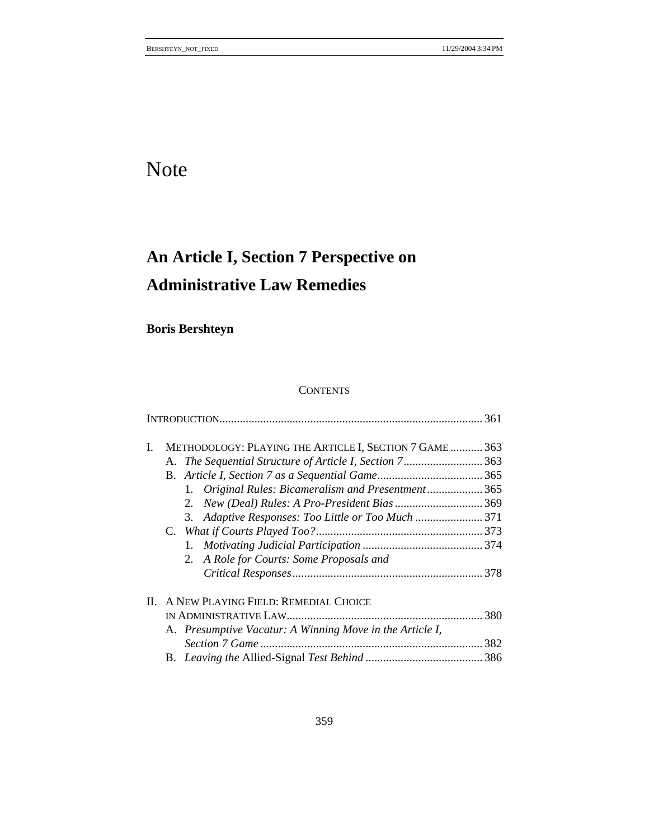# Note

# **An Article I, Section 7 Perspective on Administrative Law Remedies**

**Boris Bershteyn** 

# **CONTENTS**

| L. | METHODOLOGY: PLAYING THE ARTICLE I, SECTION 7 GAME  363<br>A. The Sequential Structure of Article I, Section 7363<br>Original Rules: Bicameralism and Presentment 365<br>1. |  |
|----|-----------------------------------------------------------------------------------------------------------------------------------------------------------------------------|--|
|    | 2.<br>Adaptive Responses: Too Little or Too Much  371<br>3.<br>2. A Role for Courts: Some Proposals and                                                                     |  |
| H. | A NEW PLAYING FIELD: REMEDIAL CHOICE<br>A. Presumptive Vacatur: A Winning Move in the Article I,                                                                            |  |
|    |                                                                                                                                                                             |  |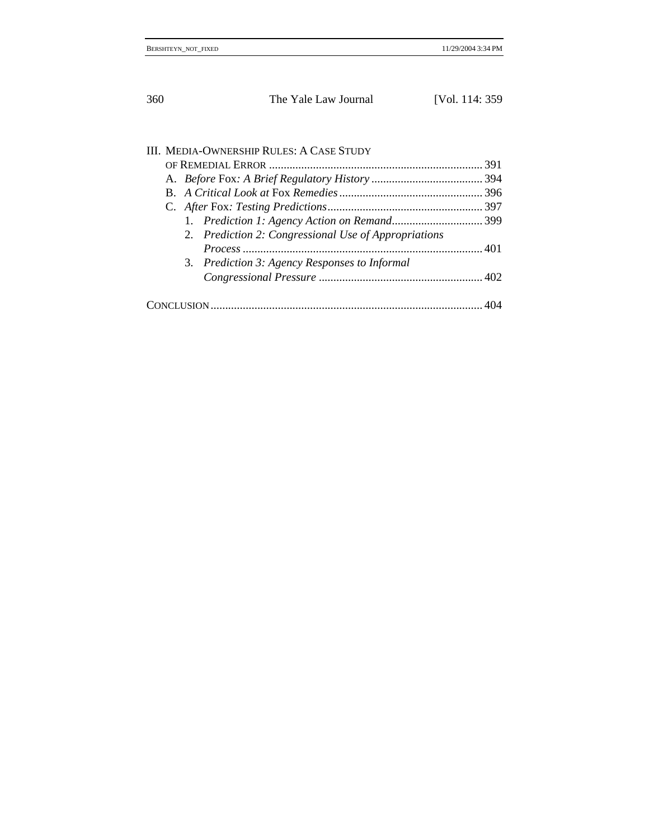# III. MEDIA-OWNERSHIP RULES: A CASE STUDY

| 2. Prediction 2: Congressional Use of Appropriations |  |
|------------------------------------------------------|--|
|                                                      |  |
| 3. Prediction 3: Agency Responses to Informal        |  |
|                                                      |  |
|                                                      |  |
|                                                      |  |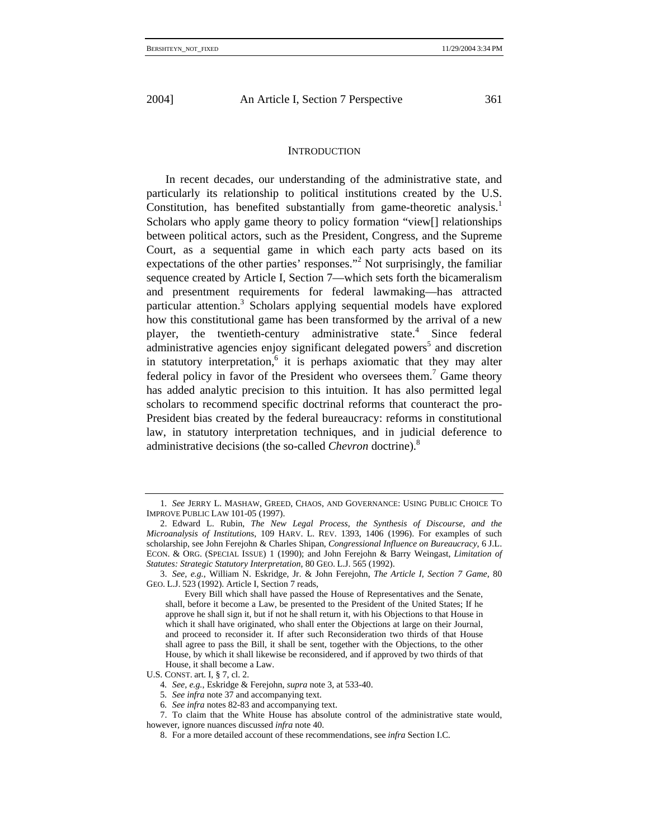#### **INTRODUCTION**

In recent decades, our understanding of the administrative state, and particularly its relationship to political institutions created by the U.S. Constitution, has benefited substantially from game-theoretic analysis.<sup>1</sup> Scholars who apply game theory to policy formation "view[] relationships between political actors, such as the President, Congress, and the Supreme Court, as a sequential game in which each party acts based on its expectations of the other parties' responses."<sup>2</sup> Not surprisingly, the familiar sequence created by Article I, Section 7—which sets forth the bicameralism and presentment requirements for federal lawmaking—has attracted particular attention.<sup>3</sup> Scholars applying sequential models have explored how this constitutional game has been transformed by the arrival of a new player, the twentieth-century administrative state.<sup>4</sup> Since federal administrative agencies enjoy significant delegated powers<sup>5</sup> and discretion in statutory interpretation,<sup>6</sup> it is perhaps axiomatic that they may alter federal policy in favor of the President who oversees them.<sup>7</sup> Game theory has added analytic precision to this intuition. It has also permitted legal scholars to recommend specific doctrinal reforms that counteract the pro-President bias created by the federal bureaucracy: reforms in constitutional law, in statutory interpretation techniques, and in judicial deference to administrative decisions (the so-called *Chevron* doctrine).<sup>8</sup>

<sup>1</sup>*. See* JERRY L. MASHAW, GREED, CHAOS, AND GOVERNANCE: USING PUBLIC CHOICE TO IMPROVE PUBLIC LAW 101-05 (1997).

<sup>2.</sup> Edward L. Rubin, *The New Legal Process, the Synthesis of Discourse, and the Microanalysis of Institutions*, 109 HARV. L. REV. 1393, 1406 (1996). For examples of such scholarship, see John Ferejohn & Charles Shipan, *Congressional Influence on Bureaucracy*, 6 J.L. ECON. & ORG. (SPECIAL ISSUE) 1 (1990); and John Ferejohn & Barry Weingast, *Limitation of Statutes: Strategic Statutory Interpretation*, 80 GEO. L.J. 565 (1992).

<sup>3.</sup> *See, e.g.*, William N. Eskridge, Jr. & John Ferejohn, *The Article I, Section 7 Game*, 80 GEO. L.J. 523 (1992). Article I, Section 7 reads,

Every Bill which shall have passed the House of Representatives and the Senate, shall, before it become a Law, be presented to the President of the United States; If he approve he shall sign it, but if not he shall return it, with his Objections to that House in which it shall have originated, who shall enter the Objections at large on their Journal, and proceed to reconsider it. If after such Reconsideration two thirds of that House shall agree to pass the Bill, it shall be sent, together with the Objections, to the other House, by which it shall likewise be reconsidered, and if approved by two thirds of that House, it shall become a Law.

U.S. CONST. art. I, § 7, cl. 2.

<sup>4</sup>*. See, e.g.*, Eskridge & Ferejohn, *supra* note 3, at 533-40.

<sup>5</sup>*. See infra* note 37 and accompanying text.

<sup>6</sup>*. See infra* notes 82-83 and accompanying text.

<sup>7.</sup> To claim that the White House has absolute control of the administrative state would, however, ignore nuances discussed *infra* note 40.

<sup>8.</sup> For a more detailed account of these recommendations, see *infra* Section I.C.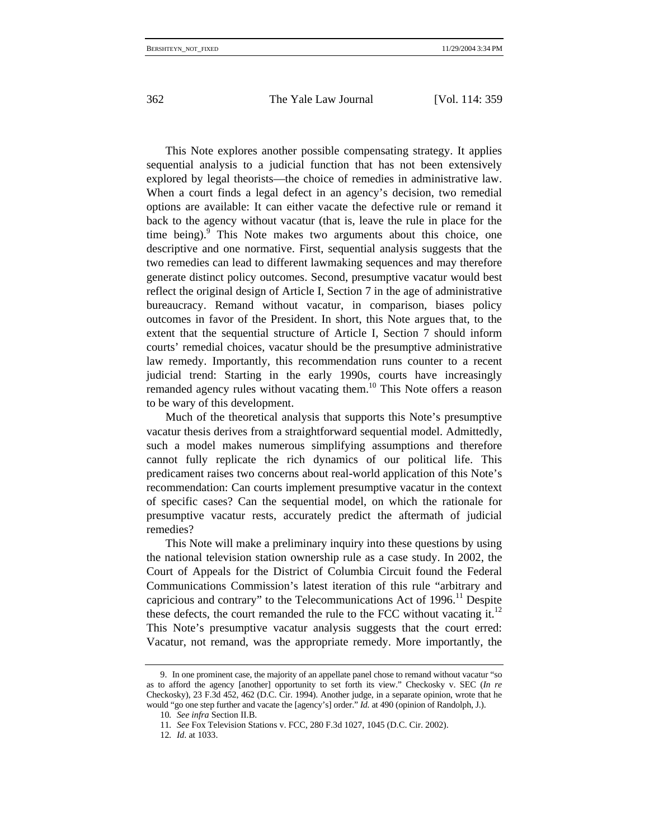This Note explores another possible compensating strategy. It applies sequential analysis to a judicial function that has not been extensively explored by legal theorists—the choice of remedies in administrative law. When a court finds a legal defect in an agency's decision, two remedial options are available: It can either vacate the defective rule or remand it back to the agency without vacatur (that is, leave the rule in place for the time being).<sup>9</sup> This Note makes two arguments about this choice, one descriptive and one normative. First, sequential analysis suggests that the two remedies can lead to different lawmaking sequences and may therefore generate distinct policy outcomes. Second, presumptive vacatur would best reflect the original design of Article I, Section 7 in the age of administrative bureaucracy. Remand without vacatur, in comparison, biases policy outcomes in favor of the President. In short, this Note argues that, to the extent that the sequential structure of Article I, Section 7 should inform courts' remedial choices, vacatur should be the presumptive administrative law remedy. Importantly, this recommendation runs counter to a recent judicial trend: Starting in the early 1990s, courts have increasingly remanded agency rules without vacating them.<sup>10</sup> This Note offers a reason to be wary of this development.

Much of the theoretical analysis that supports this Note's presumptive vacatur thesis derives from a straightforward sequential model. Admittedly, such a model makes numerous simplifying assumptions and therefore cannot fully replicate the rich dynamics of our political life. This predicament raises two concerns about real-world application of this Note's recommendation: Can courts implement presumptive vacatur in the context of specific cases? Can the sequential model, on which the rationale for presumptive vacatur rests, accurately predict the aftermath of judicial remedies?

This Note will make a preliminary inquiry into these questions by using the national television station ownership rule as a case study. In 2002, the Court of Appeals for the District of Columbia Circuit found the Federal Communications Commission's latest iteration of this rule "arbitrary and capricious and contrary" to the Telecommunications Act of  $1996$ <sup>11</sup> Despite these defects, the court remanded the rule to the FCC without vacating it.<sup>12</sup> This Note's presumptive vacatur analysis suggests that the court erred: Vacatur, not remand, was the appropriate remedy. More importantly, the

<sup>9.</sup> In one prominent case, the majority of an appellate panel chose to remand without vacatur "so as to afford the agency [another] opportunity to set forth its view." Checkosky v. SEC (*In re* Checkosky), 23 F.3d 452, 462 (D.C. Cir. 1994). Another judge, in a separate opinion, wrote that he would "go one step further and vacate the [agency's] order." *Id.* at 490 (opinion of Randolph, J.).

<sup>10</sup>*. See infra* Section II.B.

<sup>11</sup>*. See* Fox Television Stations v. FCC, 280 F.3d 1027, 1045 (D.C. Cir. 2002).

<sup>12</sup>*. Id*. at 1033.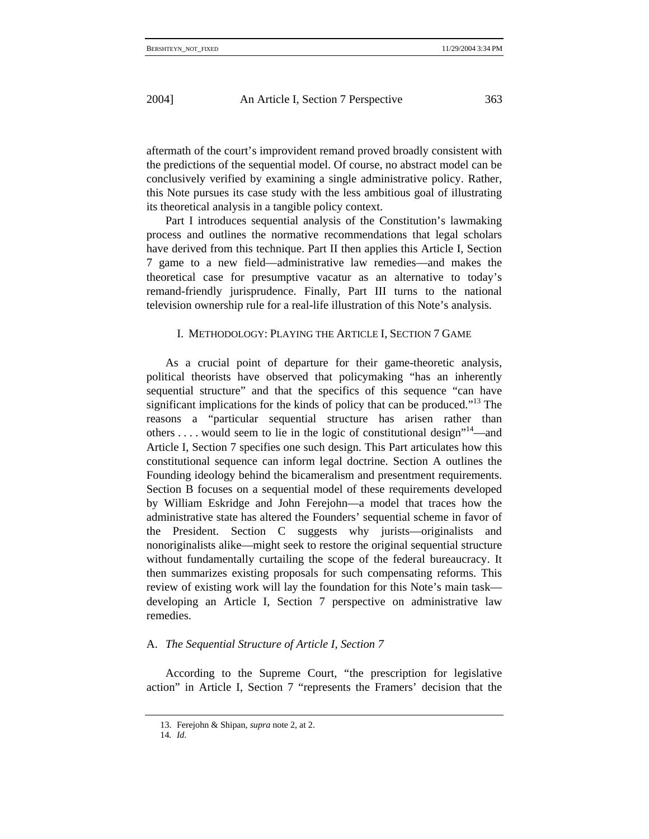aftermath of the court's improvident remand proved broadly consistent with the predictions of the sequential model. Of course, no abstract model can be conclusively verified by examining a single administrative policy. Rather, this Note pursues its case study with the less ambitious goal of illustrating its theoretical analysis in a tangible policy context.

Part I introduces sequential analysis of the Constitution's lawmaking process and outlines the normative recommendations that legal scholars have derived from this technique. Part II then applies this Article I, Section 7 game to a new field—administrative law remedies—and makes the theoretical case for presumptive vacatur as an alternative to today's remand-friendly jurisprudence. Finally, Part III turns to the national television ownership rule for a real-life illustration of this Note's analysis.

## I. METHODOLOGY: PLAYING THE ARTICLE I, SECTION 7 GAME

As a crucial point of departure for their game-theoretic analysis, political theorists have observed that policymaking "has an inherently sequential structure" and that the specifics of this sequence "can have significant implications for the kinds of policy that can be produced."<sup>13</sup> The reasons a "particular sequential structure has arisen rather than others ... . would seem to lie in the logic of constitutional design<sup>"14</sup>—and Article I, Section 7 specifies one such design. This Part articulates how this constitutional sequence can inform legal doctrine. Section A outlines the Founding ideology behind the bicameralism and presentment requirements. Section B focuses on a sequential model of these requirements developed by William Eskridge and John Ferejohn—a model that traces how the administrative state has altered the Founders' sequential scheme in favor of the President. Section C suggests why jurists—originalists and nonoriginalists alike—might seek to restore the original sequential structure without fundamentally curtailing the scope of the federal bureaucracy. It then summarizes existing proposals for such compensating reforms. This review of existing work will lay the foundation for this Note's main task developing an Article I, Section 7 perspective on administrative law remedies.

#### A. *The Sequential Structure of Article I, Section 7*

According to the Supreme Court, "the prescription for legislative action" in Article I, Section 7 "represents the Framers' decision that the

14*. Id*.

<sup>13.</sup> Ferejohn & Shipan, *supra* note 2, at 2.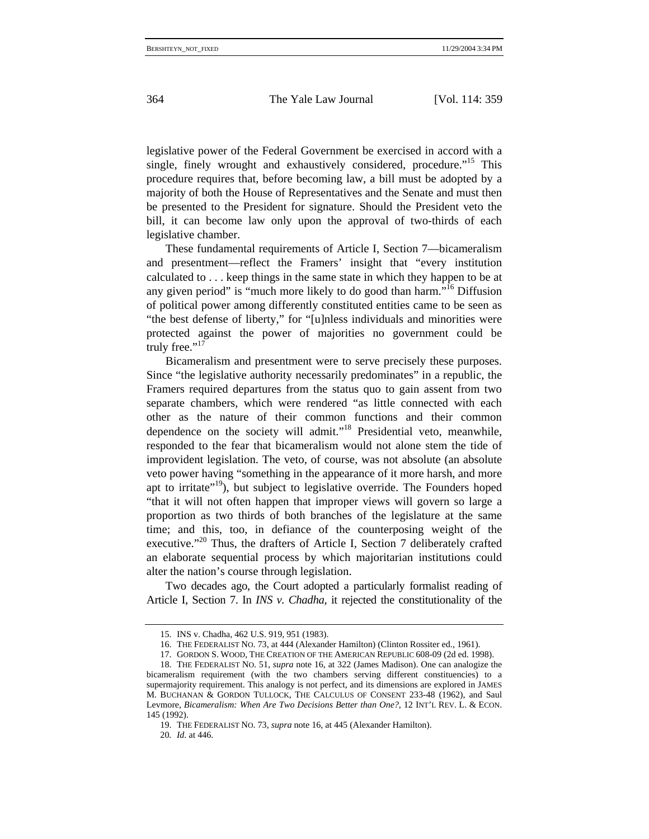legislative power of the Federal Government be exercised in accord with a single, finely wrought and exhaustively considered, procedure.<sup>"15</sup> This procedure requires that, before becoming law, a bill must be adopted by a majority of both the House of Representatives and the Senate and must then be presented to the President for signature. Should the President veto the bill, it can become law only upon the approval of two-thirds of each legislative chamber.

These fundamental requirements of Article I, Section 7—bicameralism and presentment—reflect the Framers' insight that "every institution calculated to . . . keep things in the same state in which they happen to be at any given period" is "much more likely to do good than harm."16 Diffusion of political power among differently constituted entities came to be seen as "the best defense of liberty," for "[u]nless individuals and minorities were protected against the power of majorities no government could be truly free."<sup>17</sup>

Bicameralism and presentment were to serve precisely these purposes. Since "the legislative authority necessarily predominates" in a republic, the Framers required departures from the status quo to gain assent from two separate chambers, which were rendered "as little connected with each other as the nature of their common functions and their common dependence on the society will admit."<sup>18</sup> Presidential veto, meanwhile, responded to the fear that bicameralism would not alone stem the tide of improvident legislation. The veto, of course, was not absolute (an absolute veto power having "something in the appearance of it more harsh, and more apt to irritate"<sup>19</sup>), but subject to legislative override. The Founders hoped "that it will not often happen that improper views will govern so large a proportion as two thirds of both branches of the legislature at the same time; and this, too, in defiance of the counterposing weight of the executive."20 Thus, the drafters of Article I, Section 7 deliberately crafted an elaborate sequential process by which majoritarian institutions could alter the nation's course through legislation.

Two decades ago, the Court adopted a particularly formalist reading of Article I, Section 7. In *INS v. Chadha*, it rejected the constitutionality of the

19. THE FEDERALIST NO. 73, *supra* note 16, at 445 (Alexander Hamilton).

<sup>15.</sup> INS v. Chadha, 462 U.S. 919, 951 (1983).

<sup>16.</sup> THE FEDERALIST NO. 73, at 444 (Alexander Hamilton) (Clinton Rossiter ed., 1961).

<sup>17.</sup> GORDON S. WOOD, THE CREATION OF THE AMERICAN REPUBLIC 608-09 (2d ed. 1998).

<sup>18.</sup> THE FEDERALIST NO. 51, *supra* note 16, at 322 (James Madison). One can analogize the bicameralism requirement (with the two chambers serving different constituencies) to a supermajority requirement. This analogy is not perfect, and its dimensions are explored in JAMES M. BUCHANAN & GORDON TULLOCK, THE CALCULUS OF CONSENT 233-48 (1962), and Saul Levmore, *Bicameralism: When Are Two Decisions Better than One?*, 12 INT'L REV. L. & ECON. 145 (1992).

<sup>20</sup>*. Id*. at 446.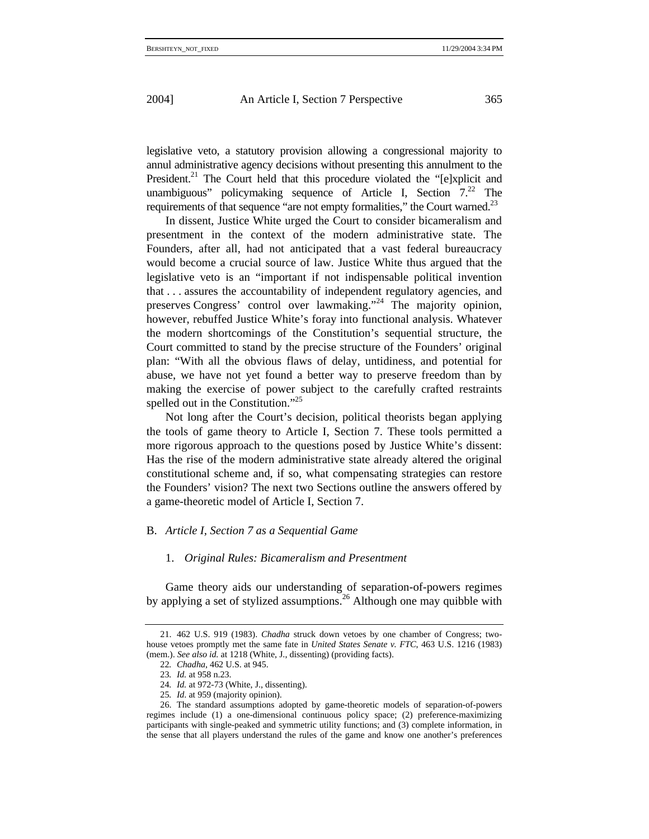legislative veto, a statutory provision allowing a congressional majority to annul administrative agency decisions without presenting this annulment to the President.<sup>21</sup> The Court held that this procedure violated the " $[elxp]$  and unambiguous" policymaking sequence of Article I, Section  $7<sup>22</sup>$  The requirements of that sequence "are not empty formalities," the Court warned.<sup>23</sup>

In dissent, Justice White urged the Court to consider bicameralism and presentment in the context of the modern administrative state. The Founders, after all, had not anticipated that a vast federal bureaucracy would become a crucial source of law. Justice White thus argued that the legislative veto is an "important if not indispensable political invention that . . . assures the accountability of independent regulatory agencies, and preserves Congress' control over lawmaking."24 The majority opinion, however, rebuffed Justice White's foray into functional analysis. Whatever the modern shortcomings of the Constitution's sequential structure, the Court committed to stand by the precise structure of the Founders' original plan: "With all the obvious flaws of delay, untidiness, and potential for abuse, we have not yet found a better way to preserve freedom than by making the exercise of power subject to the carefully crafted restraints spelled out in the Constitution."<sup>25</sup>

Not long after the Court's decision, political theorists began applying the tools of game theory to Article I, Section 7. These tools permitted a more rigorous approach to the questions posed by Justice White's dissent: Has the rise of the modern administrative state already altered the original constitutional scheme and, if so, what compensating strategies can restore the Founders' vision? The next two Sections outline the answers offered by a game-theoretic model of Article I, Section 7.

## B. *Article I, Section 7 as a Sequential Game*

### 1. *Original Rules: Bicameralism and Presentment*

Game theory aids our understanding of separation-of-powers regimes by applying a set of stylized assumptions.<sup>26</sup> Although one may quibble with

<sup>21. 462</sup> U.S. 919 (1983). *Chadha* struck down vetoes by one chamber of Congress; twohouse vetoes promptly met the same fate in *United States Senate v. FTC*, 463 U.S. 1216 (1983) (mem.). *See also id.* at 1218 (White, J., dissenting) (providing facts).

<sup>22</sup>*. Chadha*, 462 U.S. at 945.

<sup>23</sup>*. Id.* at 958 n.23.

<sup>24</sup>*. Id.* at 972-73 (White, J., dissenting).

<sup>25</sup>*. Id*. at 959 (majority opinion).

<sup>26.</sup> The standard assumptions adopted by game-theoretic models of separation-of-powers regimes include (1) a one-dimensional continuous policy space; (2) preference-maximizing participants with single-peaked and symmetric utility functions; and (3) complete information, in the sense that all players understand the rules of the game and know one another's preferences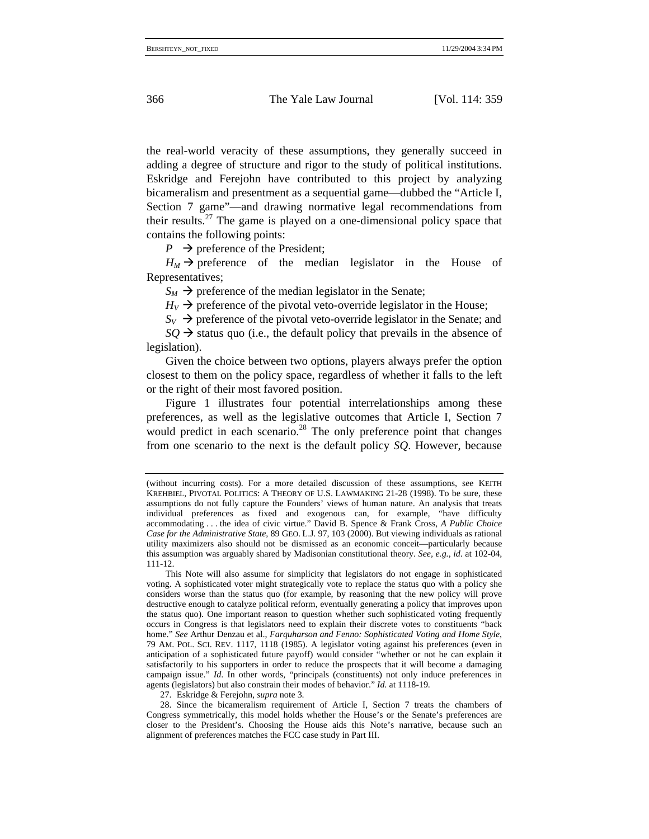the real-world veracity of these assumptions, they generally succeed in adding a degree of structure and rigor to the study of political institutions. Eskridge and Ferejohn have contributed to this project by analyzing bicameralism and presentment as a sequential game—dubbed the "Article I, Section 7 game"—and drawing normative legal recommendations from their results.<sup>27</sup> The game is played on a one-dimensional policy space that contains the following points:

 $P \rightarrow$  preference of the President;

 $H_M \rightarrow$  preference of the median legislator in the House of Representatives;

 $S_M \rightarrow$  preference of the median legislator in the Senate;

 $H_V \rightarrow$  preference of the pivotal veto-override legislator in the House;

 $S_V \rightarrow$  preference of the pivotal veto-override legislator in the Senate; and

 $SO \rightarrow$  status quo (i.e., the default policy that prevails in the absence of legislation).

Given the choice between two options, players always prefer the option closest to them on the policy space, regardless of whether it falls to the left or the right of their most favored position.

Figure 1 illustrates four potential interrelationships among these preferences, as well as the legislative outcomes that Article I, Section 7 would predict in each scenario.<sup>28</sup> The only preference point that changes from one scenario to the next is the default policy *SQ*. However, because

27. Eskridge & Ferejohn, *supra* note 3.

<sup>(</sup>without incurring costs). For a more detailed discussion of these assumptions, see KEITH KREHBIEL, PIVOTAL POLITICS: A THEORY OF U.S. LAWMAKING 21-28 (1998). To be sure, these assumptions do not fully capture the Founders' views of human nature. An analysis that treats individual preferences as fixed and exogenous can, for example, "have difficulty accommodating . . . the idea of civic virtue." David B. Spence & Frank Cross, *A Public Choice Case for the Administrative State*, 89 GEO. L.J. 97, 103 (2000). But viewing individuals as rational utility maximizers also should not be dismissed as an economic conceit—particularly because this assumption was arguably shared by Madisonian constitutional theory. *See, e.g.*, *id*. at 102-04, 111-12.

This Note will also assume for simplicity that legislators do not engage in sophisticated voting. A sophisticated voter might strategically vote to replace the status quo with a policy she considers worse than the status quo (for example, by reasoning that the new policy will prove destructive enough to catalyze political reform, eventually generating a policy that improves upon the status quo). One important reason to question whether such sophisticated voting frequently occurs in Congress is that legislators need to explain their discrete votes to constituents "back home." *See* Arthur Denzau et al., *Farquharson and Fenno: Sophisticated Voting and Home Style*, 79 AM. POL. SCI. REV. 1117, 1118 (1985). A legislator voting against his preferences (even in anticipation of a sophisticated future payoff) would consider "whether or not he can explain it satisfactorily to his supporters in order to reduce the prospects that it will become a damaging campaign issue." *Id*. In other words, "principals (constituents) not only induce preferences in agents (legislators) but also constrain their modes of behavior." *Id*. at 1118-19.

<sup>28.</sup> Since the bicameralism requirement of Article I, Section 7 treats the chambers of Congress symmetrically, this model holds whether the House's or the Senate's preferences are closer to the President's. Choosing the House aids this Note's narrative, because such an alignment of preferences matches the FCC case study in Part III.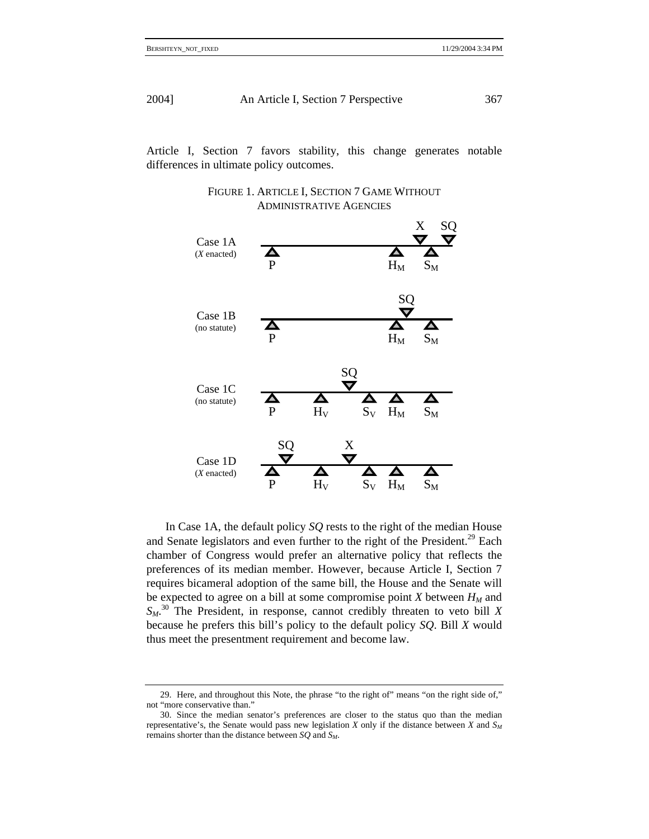Article I, Section 7 favors stability, this change generates notable differences in ultimate policy outcomes.





In Case 1A, the default policy *SQ* rests to the right of the median House and Senate legislators and even further to the right of the President.<sup>29</sup> Each chamber of Congress would prefer an alternative policy that reflects the preferences of its median member. However, because Article I, Section 7 requires bicameral adoption of the same bill, the House and the Senate will be expected to agree on a bill at some compromise point *X* between  $H_M$  and *SM*. 30 The President, in response, cannot credibly threaten to veto bill *X* because he prefers this bill's policy to the default policy *SQ*. Bill *X* would thus meet the presentment requirement and become law.

<sup>29.</sup> Here, and throughout this Note, the phrase "to the right of" means "on the right side of," not "more conservative than."

<sup>30.</sup> Since the median senator's preferences are closer to the status quo than the median representative's, the Senate would pass new legislation *X* only if the distance between *X* and  $S_M$ remains shorter than the distance between *SQ* and *SM*.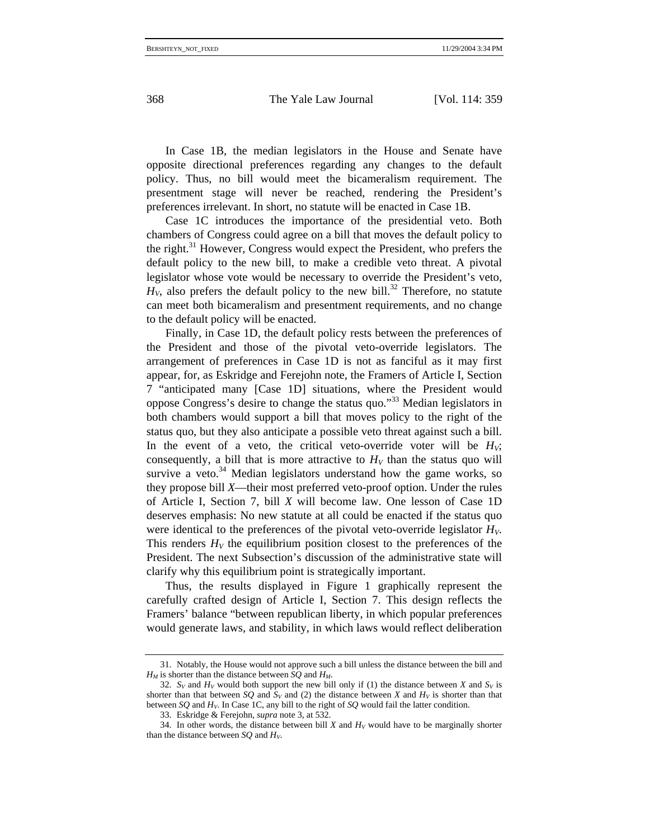In Case 1B, the median legislators in the House and Senate have opposite directional preferences regarding any changes to the default policy. Thus, no bill would meet the bicameralism requirement. The presentment stage will never be reached, rendering the President's preferences irrelevant. In short, no statute will be enacted in Case 1B.

Case 1C introduces the importance of the presidential veto. Both chambers of Congress could agree on a bill that moves the default policy to the right.<sup>31</sup> However, Congress would expect the President, who prefers the default policy to the new bill, to make a credible veto threat. A pivotal legislator whose vote would be necessary to override the President's veto,  $H<sub>V</sub>$ , also prefers the default policy to the new bill.<sup>32</sup> Therefore, no statute can meet both bicameralism and presentment requirements, and no change to the default policy will be enacted.

Finally, in Case 1D, the default policy rests between the preferences of the President and those of the pivotal veto-override legislators. The arrangement of preferences in Case 1D is not as fanciful as it may first appear, for, as Eskridge and Ferejohn note, the Framers of Article I, Section 7 "anticipated many [Case 1D] situations, where the President would oppose Congress's desire to change the status quo."33 Median legislators in both chambers would support a bill that moves policy to the right of the status quo, but they also anticipate a possible veto threat against such a bill. In the event of a veto, the critical veto-override voter will be  $H_V$ ; consequently, a bill that is more attractive to  $H_V$  than the status quo will survive a veto. $34$  Median legislators understand how the game works, so they propose bill *X*—their most preferred veto-proof option. Under the rules of Article I, Section 7, bill *X* will become law. One lesson of Case 1D deserves emphasis: No new statute at all could be enacted if the status quo were identical to the preferences of the pivotal veto-override legislator  $H_V$ . This renders  $H_V$  the equilibrium position closest to the preferences of the President. The next Subsection's discussion of the administrative state will clarify why this equilibrium point is strategically important.

Thus, the results displayed in Figure 1 graphically represent the carefully crafted design of Article I, Section 7. This design reflects the Framers' balance "between republican liberty, in which popular preferences would generate laws, and stability, in which laws would reflect deliberation

<sup>31.</sup> Notably, the House would not approve such a bill unless the distance between the bill and  $H_M$  is shorter than the distance between *SQ* and  $H_M$ .

<sup>32.</sup>  $S_V$  and  $H_V$  would both support the new bill only if (1) the distance between *X* and  $S_V$  is shorter than that between *SQ* and  $S_V$  and (2) the distance between *X* and  $H_V$  is shorter than that between *SQ* and *HV*. In Case 1C, any bill to the right of *SQ* would fail the latter condition.

<sup>33.</sup> Eskridge & Ferejohn, *supra* note 3, at 532.

<sup>34.</sup> In other words, the distance between bill  $X$  and  $H_V$  would have to be marginally shorter than the distance between  $SQ$  and  $H_V$ .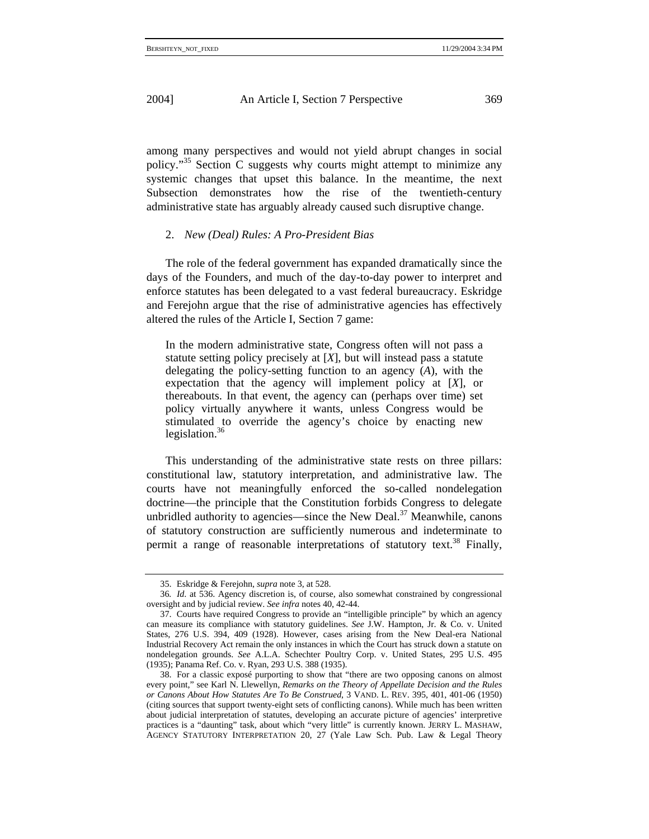among many perspectives and would not yield abrupt changes in social policy."35 Section C suggests why courts might attempt to minimize any systemic changes that upset this balance. In the meantime, the next Subsection demonstrates how the rise of the twentieth-century administrative state has arguably already caused such disruptive change.

## 2. *New (Deal) Rules: A Pro-President Bias*

The role of the federal government has expanded dramatically since the days of the Founders, and much of the day-to-day power to interpret and enforce statutes has been delegated to a vast federal bureaucracy. Eskridge and Ferejohn argue that the rise of administrative agencies has effectively altered the rules of the Article I, Section 7 game:

In the modern administrative state, Congress often will not pass a statute setting policy precisely at [*X*], but will instead pass a statute delegating the policy-setting function to an agency (*A*), with the expectation that the agency will implement policy at [*X*], or thereabouts. In that event, the agency can (perhaps over time) set policy virtually anywhere it wants, unless Congress would be stimulated to override the agency's choice by enacting new legislation. $36$ 

This understanding of the administrative state rests on three pillars: constitutional law, statutory interpretation, and administrative law. The courts have not meaningfully enforced the so-called nondelegation doctrine—the principle that the Constitution forbids Congress to delegate unbridled authority to agencies—since the New Deal. $37$  Meanwhile, canons of statutory construction are sufficiently numerous and indeterminate to permit a range of reasonable interpretations of statutory text.<sup>38</sup> Finally,

<sup>35.</sup> Eskridge & Ferejohn, *supra* note 3, at 528.

<sup>36</sup>*. Id*. at 536. Agency discretion is, of course, also somewhat constrained by congressional oversight and by judicial review. *See infra* notes 40, 42-44.

<sup>37.</sup> Courts have required Congress to provide an "intelligible principle" by which an agency can measure its compliance with statutory guidelines. *See* J.W. Hampton, Jr. & Co. v. United States, 276 U.S. 394, 409 (1928). However, cases arising from the New Deal-era National Industrial Recovery Act remain the only instances in which the Court has struck down a statute on nondelegation grounds. *See* A.L.A. Schechter Poultry Corp. v. United States, 295 U.S. 495 (1935); Panama Ref. Co. v. Ryan, 293 U.S. 388 (1935).

<sup>38.</sup> For a classic exposé purporting to show that "there are two opposing canons on almost every point," see Karl N. Llewellyn, *Remarks on the Theory of Appellate Decision and the Rules or Canons About How Statutes Are To Be Construed*, 3 VAND. L. REV. 395, 401, 401-06 (1950) (citing sources that support twenty-eight sets of conflicting canons). While much has been written about judicial interpretation of statutes, developing an accurate picture of agencies' interpretive practices is a "daunting" task, about which "very little" is currently known. JERRY L. MASHAW, AGENCY STATUTORY INTERPRETATION 20, 27 (Yale Law Sch. Pub. Law & Legal Theory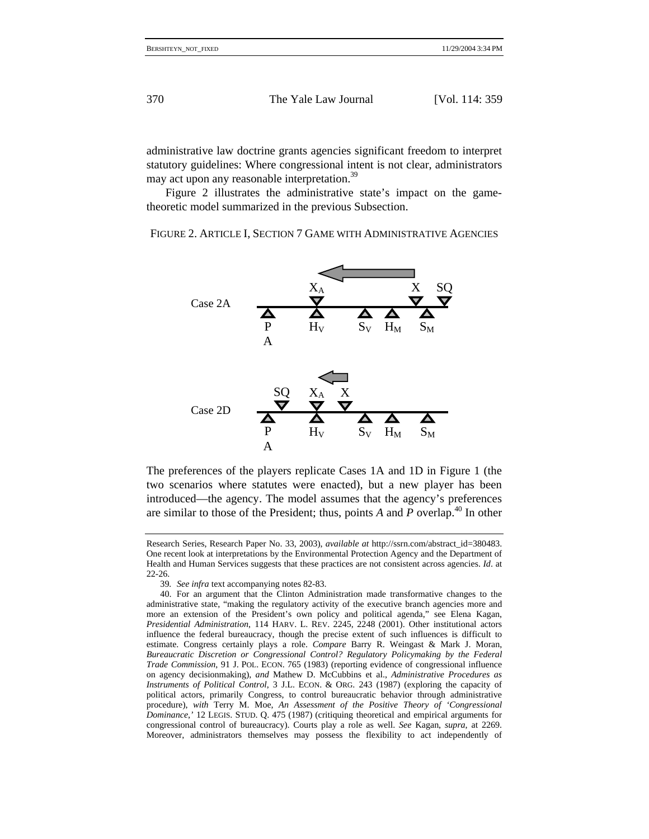administrative law doctrine grants agencies significant freedom to interpret statutory guidelines: Where congressional intent is not clear, administrators may act upon any reasonable interpretation.<sup>39</sup>

Figure 2 illustrates the administrative state's impact on the gametheoretic model summarized in the previous Subsection.

FIGURE 2. ARTICLE I, SECTION 7 GAME WITH ADMINISTRATIVE AGENCIES



The preferences of the players replicate Cases 1A and 1D in Figure 1 (the two scenarios where statutes were enacted), but a new player has been introduced—the agency. The model assumes that the agency's preferences are similar to those of the President; thus, points *A* and *P* overlap.40 In other

Research Series, Research Paper No. 33, 2003), *available at* http://ssrn.com/abstract\_id=380483. One recent look at interpretations by the Environmental Protection Agency and the Department of Health and Human Services suggests that these practices are not consistent across agencies. *Id*. at 22-26.

<sup>39</sup>*. See infra* text accompanying notes 82-83.

<sup>40.</sup> For an argument that the Clinton Administration made transformative changes to the administrative state, "making the regulatory activity of the executive branch agencies more and more an extension of the President's own policy and political agenda," see Elena Kagan, *Presidential Administration*, 114 HARV. L. REV. 2245, 2248 (2001). Other institutional actors influence the federal bureaucracy, though the precise extent of such influences is difficult to estimate. Congress certainly plays a role. *Compare* Barry R. Weingast & Mark J. Moran, *Bureaucratic Discretion or Congressional Control? Regulatory Policymaking by the Federal Trade Commission*, 91 J. POL. ECON. 765 (1983) (reporting evidence of congressional influence on agency decisionmaking), *and* Mathew D. McCubbins et al., *Administrative Procedures as Instruments of Political Control*, 3 J.L. ECON. & ORG. 243 (1987) (exploring the capacity of political actors, primarily Congress, to control bureaucratic behavior through administrative procedure), *with* Terry M. Moe, *An Assessment of the Positive Theory of 'Congressional Dominance*,*'* 12 LEGIS. STUD. Q. 475 (1987) (critiquing theoretical and empirical arguments for congressional control of bureaucracy). Courts play a role as well. *See* Kagan, *supra*, at 2269. Moreover, administrators themselves may possess the flexibility to act independently of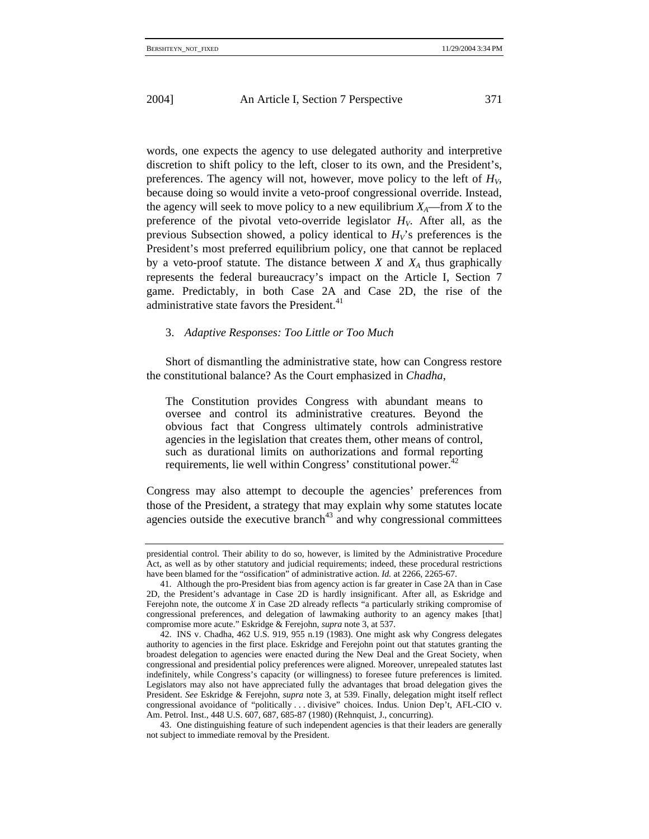words, one expects the agency to use delegated authority and interpretive discretion to shift policy to the left, closer to its own, and the President's, preferences. The agency will not, however, move policy to the left of  $H_V$ , because doing so would invite a veto-proof congressional override. Instead, the agency will seek to move policy to a new equilibrium  $X_A$ —from *X* to the preference of the pivotal veto-override legislator  $H_V$ . After all, as the previous Subsection showed, a policy identical to  $H_V$ 's preferences is the President's most preferred equilibrium policy, one that cannot be replaced by a veto-proof statute. The distance between  $X$  and  $X_A$  thus graphically represents the federal bureaucracy's impact on the Article I, Section 7 game. Predictably, in both Case 2A and Case 2D, the rise of the administrative state favors the President.<sup>41</sup>

## 3. *Adaptive Responses: Too Little or Too Much*

Short of dismantling the administrative state, how can Congress restore the constitutional balance? As the Court emphasized in *Chadha*,

The Constitution provides Congress with abundant means to oversee and control its administrative creatures. Beyond the obvious fact that Congress ultimately controls administrative agencies in the legislation that creates them, other means of control, such as durational limits on authorizations and formal reporting requirements, lie well within Congress' constitutional power.<sup>42</sup>

Congress may also attempt to decouple the agencies' preferences from those of the President, a strategy that may explain why some statutes locate agencies outside the executive branch<sup> $43$ </sup> and why congressional committees

presidential control. Their ability to do so, however, is limited by the Administrative Procedure Act, as well as by other statutory and judicial requirements; indeed, these procedural restrictions have been blamed for the "ossification" of administrative action. *Id.* at 2266, 2265-67.

<sup>41.</sup> Although the pro-President bias from agency action is far greater in Case 2A than in Case 2D, the President's advantage in Case 2D is hardly insignificant. After all, as Eskridge and Ferejohn note, the outcome *X* in Case 2D already reflects "a particularly striking compromise of congressional preferences, and delegation of lawmaking authority to an agency makes [that] compromise more acute." Eskridge & Ferejohn, *supra* note 3, at 537.

<sup>42.</sup> INS v. Chadha, 462 U.S. 919, 955 n.19 (1983). One might ask why Congress delegates authority to agencies in the first place. Eskridge and Ferejohn point out that statutes granting the broadest delegation to agencies were enacted during the New Deal and the Great Society, when congressional and presidential policy preferences were aligned. Moreover, unrepealed statutes last indefinitely, while Congress's capacity (or willingness) to foresee future preferences is limited. Legislators may also not have appreciated fully the advantages that broad delegation gives the President. *See* Eskridge & Ferejohn, *supra* note 3, at 539. Finally, delegation might itself reflect congressional avoidance of "politically . . . divisive" choices. Indus. Union Dep't, AFL-CIO v. Am. Petrol. Inst., 448 U.S. 607, 687, 685-87 (1980) (Rehnquist, J., concurring).

<sup>43.</sup> One distinguishing feature of such independent agencies is that their leaders are generally not subject to immediate removal by the President.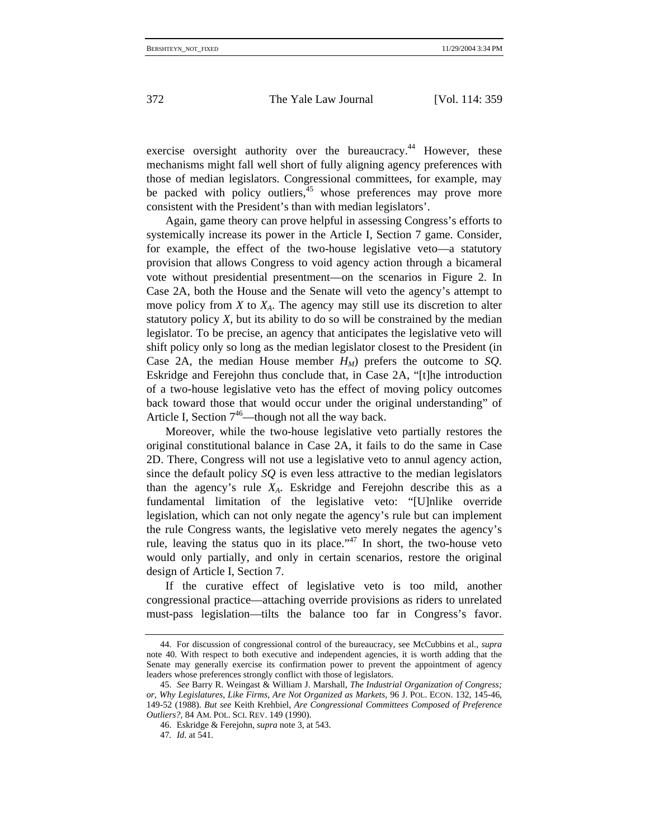exercise oversight authority over the bureaucracy.<sup>44</sup> However, these mechanisms might fall well short of fully aligning agency preferences with those of median legislators. Congressional committees, for example, may be packed with policy outliers, $45$  whose preferences may prove more consistent with the President's than with median legislators'.

Again, game theory can prove helpful in assessing Congress's efforts to systemically increase its power in the Article I, Section 7 game. Consider, for example, the effect of the two-house legislative veto—a statutory provision that allows Congress to void agency action through a bicameral vote without presidential presentment—on the scenarios in Figure 2. In Case 2A, both the House and the Senate will veto the agency's attempt to move policy from  $X$  to  $X_A$ . The agency may still use its discretion to alter statutory policy *X*, but its ability to do so will be constrained by the median legislator. To be precise, an agency that anticipates the legislative veto will shift policy only so long as the median legislator closest to the President (in Case 2A, the median House member  $H_M$ ) prefers the outcome to *SQ*. Eskridge and Ferejohn thus conclude that, in Case 2A, "[t]he introduction of a two-house legislative veto has the effect of moving policy outcomes back toward those that would occur under the original understanding" of Article I, Section  $7^{46}$ —though not all the way back.

Moreover, while the two-house legislative veto partially restores the original constitutional balance in Case 2A, it fails to do the same in Case 2D. There, Congress will not use a legislative veto to annul agency action, since the default policy *SQ* is even less attractive to the median legislators than the agency's rule *XA*. Eskridge and Ferejohn describe this as a fundamental limitation of the legislative veto: "[U]nlike override legislation, which can not only negate the agency's rule but can implement the rule Congress wants, the legislative veto merely negates the agency's rule, leaving the status quo in its place."<sup>47</sup> In short, the two-house veto would only partially, and only in certain scenarios, restore the original design of Article I, Section 7.

If the curative effect of legislative veto is too mild, another congressional practice—attaching override provisions as riders to unrelated must-pass legislation—tilts the balance too far in Congress's favor.

<sup>44.</sup> For discussion of congressional control of the bureaucracy, see McCubbins et al., *supra*  note 40. With respect to both executive and independent agencies, it is worth adding that the Senate may generally exercise its confirmation power to prevent the appointment of agency leaders whose preferences strongly conflict with those of legislators.

<sup>45.</sup> *See* Barry R. Weingast & William J. Marshall, *The Industrial Organization of Congress; or, Why Legislatures, Like Firms, Are Not Organized as Markets*, 96 J. POL. ECON. 132, 145-46, 149-52 (1988). *But see* Keith Krehbiel, *Are Congressional Committees Composed of Preference Outliers?*, 84 AM. POL. SCI. REV. 149 (1990).

<sup>46.</sup> Eskridge & Ferejohn, *supra* note 3, at 543.

<sup>47</sup>*. Id*. at 541.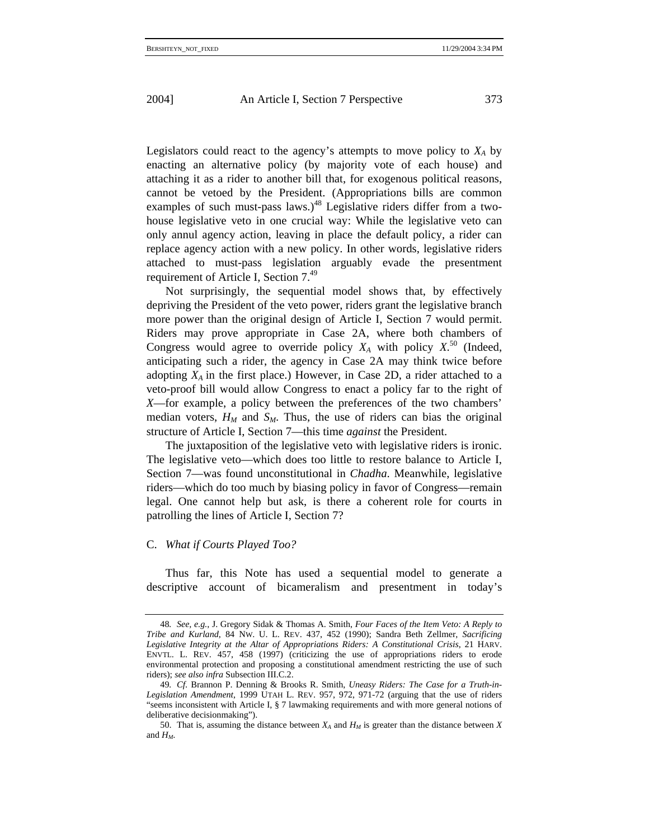Legislators could react to the agency's attempts to move policy to  $X_A$  by enacting an alternative policy (by majority vote of each house) and attaching it as a rider to another bill that, for exogenous political reasons, cannot be vetoed by the President. (Appropriations bills are common examples of such must-pass laws.)<sup>48</sup> Legislative riders differ from a twohouse legislative veto in one crucial way: While the legislative veto can only annul agency action, leaving in place the default policy, a rider can replace agency action with a new policy. In other words, legislative riders attached to must-pass legislation arguably evade the presentment requirement of Article I, Section 7.49

Not surprisingly, the sequential model shows that, by effectively depriving the President of the veto power, riders grant the legislative branch more power than the original design of Article I, Section 7 would permit. Riders may prove appropriate in Case 2A, where both chambers of Congress would agree to override policy  $X_A$  with policy  $X<sup>50</sup>$  (Indeed, anticipating such a rider, the agency in Case 2A may think twice before adopting  $X_A$  in the first place.) However, in Case 2D, a rider attached to a veto-proof bill would allow Congress to enact a policy far to the right of *X*—for example, a policy between the preferences of the two chambers' median voters,  $H_M$  and  $S_M$ . Thus, the use of riders can bias the original structure of Article I, Section 7—this time *against* the President.

The juxtaposition of the legislative veto with legislative riders is ironic. The legislative veto—which does too little to restore balance to Article I, Section 7—was found unconstitutional in *Chadha*. Meanwhile, legislative riders—which do too much by biasing policy in favor of Congress—remain legal. One cannot help but ask, is there a coherent role for courts in patrolling the lines of Article I, Section 7?

#### C. *What if Courts Played Too?*

Thus far, this Note has used a sequential model to generate a descriptive account of bicameralism and presentment in today's

<sup>48</sup>*. See, e.g.*, J. Gregory Sidak & Thomas A. Smith, *Four Faces of the Item Veto: A Reply to Tribe and Kurland*, 84 NW. U. L. REV. 437, 452 (1990); Sandra Beth Zellmer, *Sacrificing Legislative Integrity at the Altar of Appropriations Riders: A Constitutional Crisis*, 21 HARV. ENVTL. L. REV. 457, 458 (1997) (criticizing the use of appropriations riders to erode environmental protection and proposing a constitutional amendment restricting the use of such riders); *see also infra* Subsection III.C.2.

<sup>49</sup>*. Cf*. Brannon P. Denning & Brooks R. Smith, *Uneasy Riders: The Case for a Truth-in-Legislation Amendment*, 1999 UTAH L. REV. 957, 972, 971-72 (arguing that the use of riders "seems inconsistent with Article I, § 7 lawmaking requirements and with more general notions of deliberative decisionmaking").

<sup>50.</sup> That is, assuming the distance between  $X_A$  and  $H_M$  is greater than the distance between X and *HM*.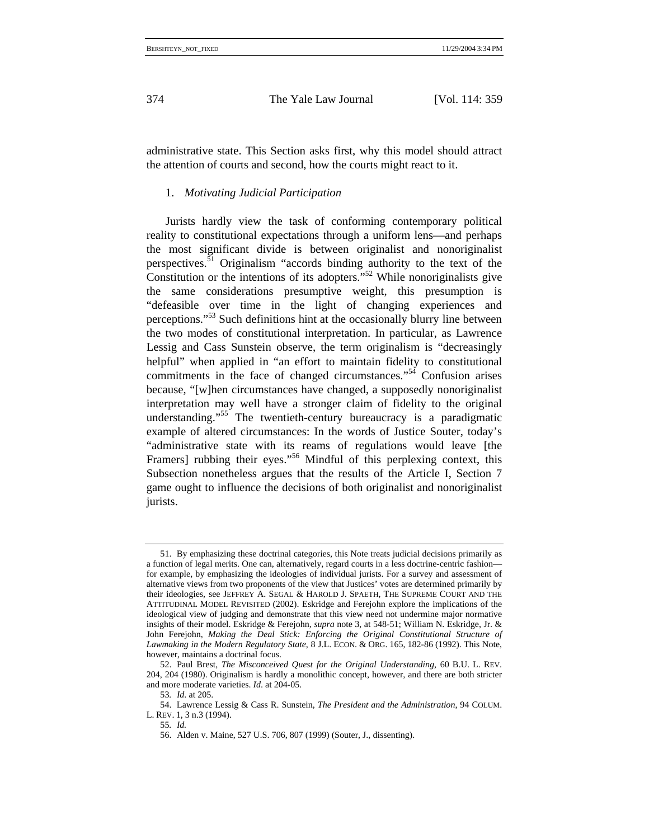administrative state. This Section asks first, why this model should attract the attention of courts and second, how the courts might react to it.

### 1. *Motivating Judicial Participation*

Jurists hardly view the task of conforming contemporary political reality to constitutional expectations through a uniform lens—and perhaps the most significant divide is between originalist and nonoriginalist perspectives.<sup>51</sup> Originalism "accords binding authority to the text of the Constitution or the intentions of its adopters."<sup>52</sup> While nonoriginalists give the same considerations presumptive weight, this presumption is "defeasible over time in the light of changing experiences and perceptions."53 Such definitions hint at the occasionally blurry line between the two modes of constitutional interpretation. In particular, as Lawrence Lessig and Cass Sunstein observe, the term originalism is "decreasingly helpful" when applied in "an effort to maintain fidelity to constitutional commitments in the face of changed circumstances."<sup>54</sup> Confusion arises because, "[w]hen circumstances have changed, a supposedly nonoriginalist interpretation may well have a stronger claim of fidelity to the original understanding."<sup>55</sup> The twentieth-century bureaucracy is a paradigmatic example of altered circumstances: In the words of Justice Souter, today's "administrative state with its reams of regulations would leave [the Framers] rubbing their eyes."<sup>56</sup> Mindful of this perplexing context, this Subsection nonetheless argues that the results of the Article I, Section 7 game ought to influence the decisions of both originalist and nonoriginalist jurists.

<sup>51.</sup> By emphasizing these doctrinal categories, this Note treats judicial decisions primarily as a function of legal merits. One can, alternatively, regard courts in a less doctrine-centric fashion for example, by emphasizing the ideologies of individual jurists. For a survey and assessment of alternative views from two proponents of the view that Justices' votes are determined primarily by their ideologies, see JEFFREY A. SEGAL & HAROLD J. SPAETH, THE SUPREME COURT AND THE ATTITUDINAL MODEL REVISITED (2002). Eskridge and Ferejohn explore the implications of the ideological view of judging and demonstrate that this view need not undermine major normative insights of their model. Eskridge & Ferejohn, *supra* note 3, at 548-51; William N. Eskridge, Jr. & John Ferejohn, *Making the Deal Stick: Enforcing the Original Constitutional Structure of Lawmaking in the Modern Regulatory State*, 8 J.L. ECON. & ORG. 165, 182-86 (1992). This Note, however, maintains a doctrinal focus.

<sup>52.</sup> Paul Brest, *The Misconceived Quest for the Original Understanding*, 60 B.U. L. REV. 204, 204 (1980). Originalism is hardly a monolithic concept, however, and there are both stricter and more moderate varieties. *Id*. at 204-05.

<sup>53</sup>*. Id*. at 205.

<sup>54.</sup> Lawrence Lessig & Cass R. Sunstein, *The President and the Administration*, 94 COLUM. L. REV. 1, 3 n.3 (1994).

<sup>55</sup>*. Id.*

<sup>56.</sup> Alden v. Maine, 527 U.S. 706, 807 (1999) (Souter, J., dissenting).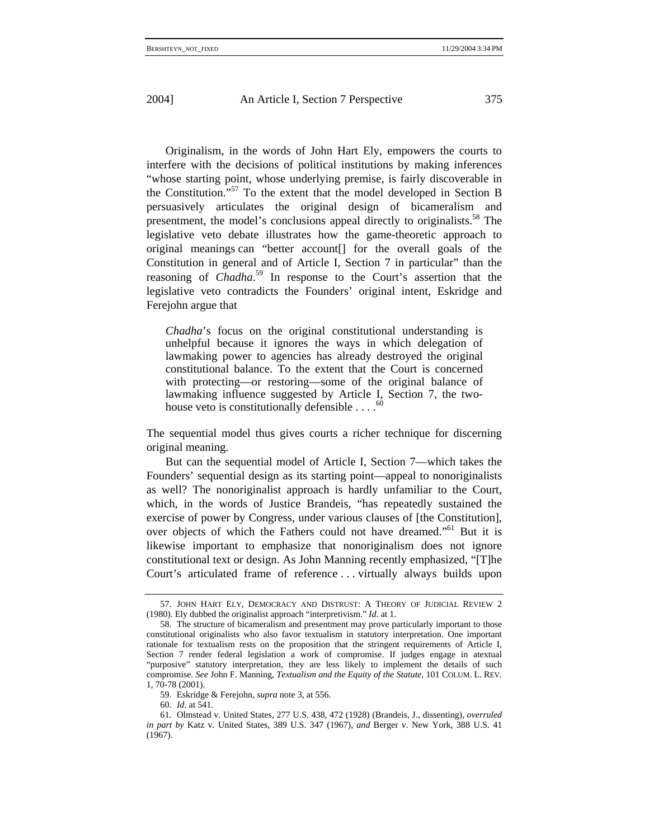Originalism, in the words of John Hart Ely, empowers the courts to interfere with the decisions of political institutions by making inferences "whose starting point, whose underlying premise, is fairly discoverable in the Constitution."57 To the extent that the model developed in Section B persuasively articulates the original design of bicameralism and presentment, the model's conclusions appeal directly to originalists.<sup>58</sup> The legislative veto debate illustrates how the game-theoretic approach to original meanings can "better account[] for the overall goals of the Constitution in general and of Article I, Section 7 in particular" than the reasoning of *Chadha*. 59 In response to the Court's assertion that the legislative veto contradicts the Founders' original intent, Eskridge and Ferejohn argue that

*Chadha*'s focus on the original constitutional understanding is unhelpful because it ignores the ways in which delegation of lawmaking power to agencies has already destroyed the original constitutional balance. To the extent that the Court is concerned with protecting—or restoring—some of the original balance of lawmaking influence suggested by Article I, Section 7, the twohouse veto is constitutionally defensible  $\ldots$ <sup>60</sup>

The sequential model thus gives courts a richer technique for discerning original meaning.

But can the sequential model of Article I, Section 7—which takes the Founders' sequential design as its starting point—appeal to nonoriginalists as well? The nonoriginalist approach is hardly unfamiliar to the Court, which, in the words of Justice Brandeis, "has repeatedly sustained the exercise of power by Congress, under various clauses of [the Constitution], over objects of which the Fathers could not have dreamed."61 But it is likewise important to emphasize that nonoriginalism does not ignore constitutional text or design. As John Manning recently emphasized, "[T]he Court's articulated frame of reference . . . virtually always builds upon

<sup>57.</sup> JOHN HART ELY, DEMOCRACY AND DISTRUST: A THEORY OF JUDICIAL REVIEW 2 (1980). Ely dubbed the originalist approach "interpretivism." *Id*. at 1.

<sup>58.</sup> The structure of bicameralism and presentment may prove particularly important to those constitutional originalists who also favor textualism in statutory interpretation. One important rationale for textualism rests on the proposition that the stringent requirements of Article I, Section 7 render federal legislation a work of compromise. If judges engage in atextual "purposive" statutory interpretation, they are less likely to implement the details of such compromise. *See* John F. Manning, *Textualism and the Equity of the Statute*, 101 COLUM. L. REV. 1, 70-78 (2001).

<sup>59.</sup> Eskridge & Ferejohn, *supra* note 3, at 556.

<sup>60.</sup> *Id*. at 541.

<sup>61.</sup> Olmstead v. United States, 277 U.S. 438, 472 (1928) (Brandeis, J., dissenting), *overruled in part by* Katz v. United States, 389 U.S. 347 (1967), *and* Berger v. New York, 388 U.S. 41 (1967).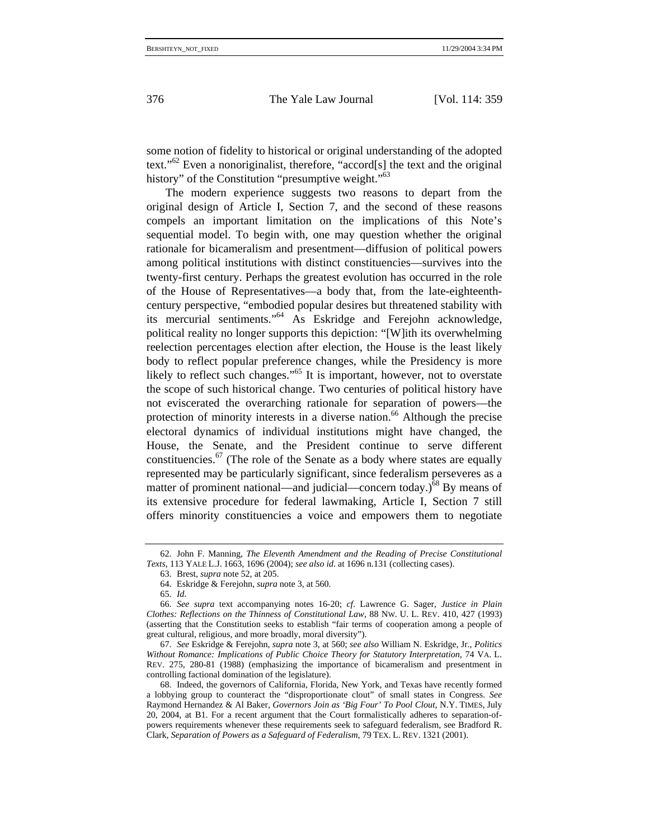some notion of fidelity to historical or original understanding of the adopted text."62 Even a nonoriginalist, therefore, "accord[s] the text and the original history" of the Constitution "presumptive weight."<sup>63</sup>

The modern experience suggests two reasons to depart from the original design of Article I, Section 7, and the second of these reasons compels an important limitation on the implications of this Note's sequential model. To begin with, one may question whether the original rationale for bicameralism and presentment—diffusion of political powers among political institutions with distinct constituencies—survives into the twenty-first century. Perhaps the greatest evolution has occurred in the role of the House of Representatives—a body that, from the late-eighteenthcentury perspective, "embodied popular desires but threatened stability with its mercurial sentiments."64 As Eskridge and Ferejohn acknowledge, political reality no longer supports this depiction: "[W]ith its overwhelming reelection percentages election after election, the House is the least likely body to reflect popular preference changes, while the Presidency is more likely to reflect such changes."<sup>65</sup> It is important, however, not to overstate the scope of such historical change. Two centuries of political history have not eviscerated the overarching rationale for separation of powers—the protection of minority interests in a diverse nation.<sup>66</sup> Although the precise electoral dynamics of individual institutions might have changed, the House, the Senate, and the President continue to serve different constituencies. $67$  (The role of the Senate as a body where states are equally represented may be particularly significant, since federalism perseveres as a matter of prominent national—and judicial—concern today.)<sup>68</sup> By means of its extensive procedure for federal lawmaking, Article I, Section 7 still offers minority constituencies a voice and empowers them to negotiate

<sup>62.</sup> John F. Manning, *The Eleventh Amendment and the Reading of Precise Constitutional Texts*, 113 YALE L.J. 1663, 1696 (2004); *see also id*. at 1696 n.131 (collecting cases).

<sup>63.</sup> Brest, *supra* note 52, at 205.

<sup>64.</sup> Eskridge & Ferejohn, *supra* note 3, at 560.

<sup>65.</sup> *Id*.

<sup>66.</sup> *See supra* text accompanying notes 16-20; *cf*. Lawrence G. Sager, *Justice in Plain Clothes: Reflections on the Thinness of Constitutional Law*, 88 NW. U. L. REV. 410, 427 (1993) (asserting that the Constitution seeks to establish "fair terms of cooperation among a people of great cultural, religious, and more broadly, moral diversity").

<sup>67.</sup> *See* Eskridge & Ferejohn, *supra* note 3, at 560; *see also* William N. Eskridge, Jr., *Politics Without Romance: Implications of Public Choice Theory for Statutory Interpretation*, 74 VA. L. REV. 275, 280-81 (1988) (emphasizing the importance of bicameralism and presentment in controlling factional domination of the legislature).

<sup>68.</sup> Indeed, the governors of California, Florida, New York, and Texas have recently formed a lobbying group to counteract the "disproportionate clout" of small states in Congress. *See* Raymond Hernandez & Al Baker, *Governors Join as 'Big Four' To Pool Clout*, N.Y. TIMES, July 20, 2004, at B1. For a recent argument that the Court formalistically adheres to separation-ofpowers requirements whenever these requirements seek to safeguard federalism, see Bradford R. Clark, *Separation of Powers as a Safeguard of Federalism*, 79 TEX. L. REV. 1321 (2001).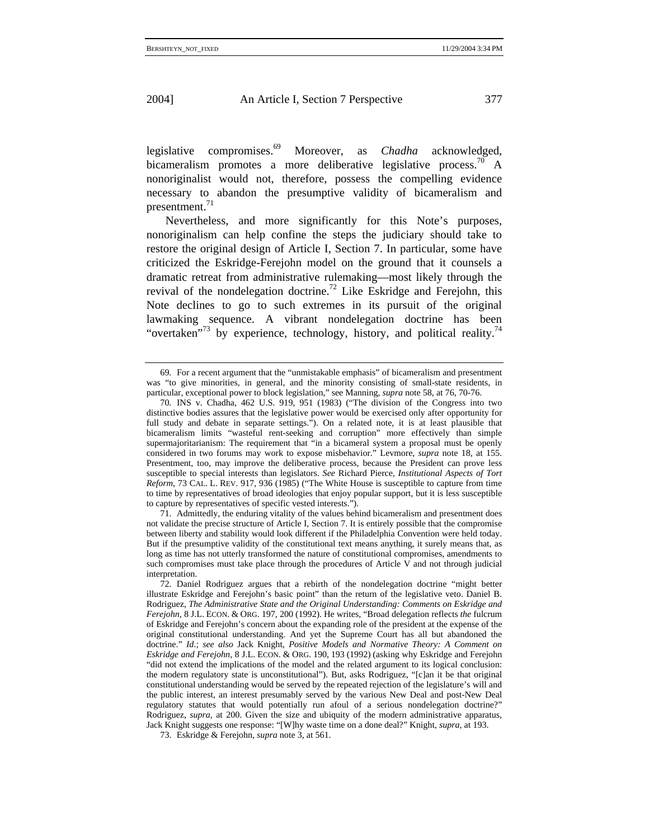legislative compromises.69 Moreover, as *Chadha* acknowledged, bicameralism promotes a more deliberative legislative process.<sup>70</sup> A nonoriginalist would not, therefore, possess the compelling evidence necessary to abandon the presumptive validity of bicameralism and presentment. $71$ 

Nevertheless, and more significantly for this Note's purposes, nonoriginalism can help confine the steps the judiciary should take to restore the original design of Article I, Section 7. In particular, some have criticized the Eskridge-Ferejohn model on the ground that it counsels a dramatic retreat from administrative rulemaking—most likely through the revival of the nondelegation doctrine.<sup>72</sup> Like Eskridge and Ferejohn, this Note declines to go to such extremes in its pursuit of the original lawmaking sequence. A vibrant nondelegation doctrine has been "overtaken"<sup>73</sup> by experience, technology, history, and political reality.<sup>74</sup>

71. Admittedly, the enduring vitality of the values behind bicameralism and presentment does not validate the precise structure of Article I, Section 7. It is entirely possible that the compromise between liberty and stability would look different if the Philadelphia Convention were held today. But if the presumptive validity of the constitutional text means anything, it surely means that, as long as time has not utterly transformed the nature of constitutional compromises, amendments to such compromises must take place through the procedures of Article V and not through judicial interpretation.

<sup>69</sup>*.* For a recent argument that the "unmistakable emphasis" of bicameralism and presentment was "to give minorities, in general, and the minority consisting of small-state residents, in particular, exceptional power to block legislation," see Manning, *supra* note 58, at 76, 70-76.

<sup>70</sup>*.* INS v. Chadha, 462 U.S. 919, 951 (1983) ("The division of the Congress into two distinctive bodies assures that the legislative power would be exercised only after opportunity for full study and debate in separate settings."). On a related note, it is at least plausible that bicameralism limits "wasteful rent-seeking and corruption" more effectively than simple supermajoritarianism: The requirement that "in a bicameral system a proposal must be openly considered in two forums may work to expose misbehavior." Levmore, *supra* note 18, at 155. Presentment, too, may improve the deliberative process, because the President can prove less susceptible to special interests than legislators. *See* Richard Pierce, *Institutional Aspects of Tort Reform*, 73 CAL. L. REV. 917, 936 (1985) ("The White House is susceptible to capture from time to time by representatives of broad ideologies that enjoy popular support, but it is less susceptible to capture by representatives of specific vested interests.").

<sup>72.</sup> Daniel Rodriguez argues that a rebirth of the nondelegation doctrine "might better illustrate Eskridge and Ferejohn's basic point" than the return of the legislative veto. Daniel B. Rodriguez, *The Administrative State and the Original Understanding: Comments on Eskridge and Ferejohn*, 8 J.L. ECON. & ORG. 197, 200 (1992). He writes, "Broad delegation reflects *the* fulcrum of Eskridge and Ferejohn's concern about the expanding role of the president at the expense of the original constitutional understanding. And yet the Supreme Court has all but abandoned the doctrine." *Id*.; *see also* Jack Knight, *Positive Models and Normative Theory: A Comment on Eskridge and Ferejohn*, 8 J.L. ECON. & ORG. 190, 193 (1992) (asking why Eskridge and Ferejohn "did not extend the implications of the model and the related argument to its logical conclusion: the modern regulatory state is unconstitutional"). But, asks Rodriguez, "[c]an it be that original constitutional understanding would be served by the repeated rejection of the legislature's will and the public interest, an interest presumably served by the various New Deal and post-New Deal regulatory statutes that would potentially run afoul of a serious nondelegation doctrine?" Rodriguez, *supra*, at 200. Given the size and ubiquity of the modern administrative apparatus, Jack Knight suggests one response: "[W]hy waste time on a done deal?" Knight, *supra*, at 193.

<sup>73.</sup> Eskridge & Ferejohn, *supra* note 3, at 561.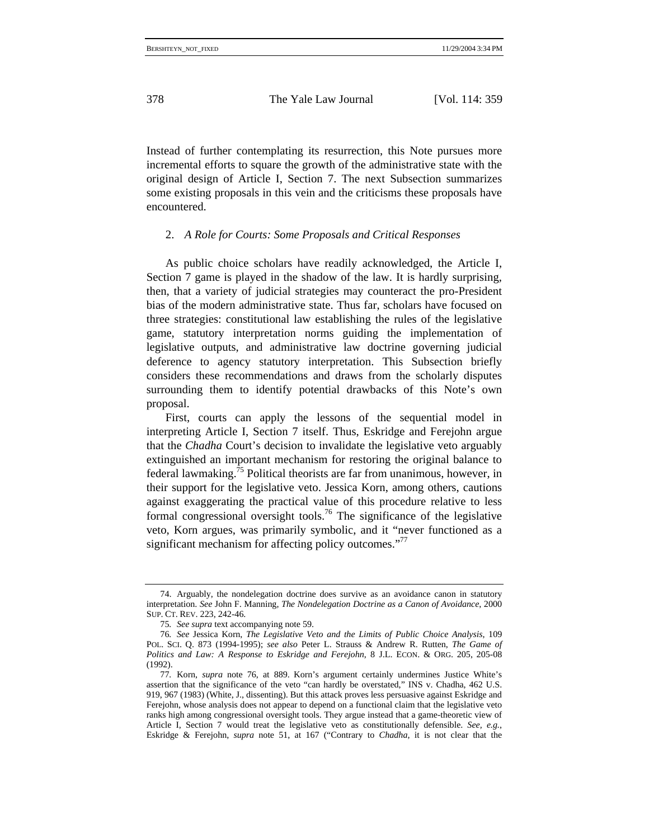Instead of further contemplating its resurrection, this Note pursues more incremental efforts to square the growth of the administrative state with the original design of Article I, Section 7. The next Subsection summarizes some existing proposals in this vein and the criticisms these proposals have encountered.

## 2. *A Role for Courts: Some Proposals and Critical Responses*

As public choice scholars have readily acknowledged, the Article I, Section 7 game is played in the shadow of the law. It is hardly surprising, then, that a variety of judicial strategies may counteract the pro-President bias of the modern administrative state. Thus far, scholars have focused on three strategies: constitutional law establishing the rules of the legislative game, statutory interpretation norms guiding the implementation of legislative outputs, and administrative law doctrine governing judicial deference to agency statutory interpretation. This Subsection briefly considers these recommendations and draws from the scholarly disputes surrounding them to identify potential drawbacks of this Note's own proposal.

First, courts can apply the lessons of the sequential model in interpreting Article I, Section 7 itself. Thus, Eskridge and Ferejohn argue that the *Chadha* Court's decision to invalidate the legislative veto arguably extinguished an important mechanism for restoring the original balance to federal lawmaking.<sup>75</sup> Political theorists are far from unanimous, however, in their support for the legislative veto. Jessica Korn, among others, cautions against exaggerating the practical value of this procedure relative to less formal congressional oversight tools.<sup>76</sup> The significance of the legislative veto, Korn argues, was primarily symbolic, and it "never functioned as a significant mechanism for affecting policy outcomes."77

<sup>74.</sup> Arguably, the nondelegation doctrine does survive as an avoidance canon in statutory interpretation. *See* John F. Manning, *The Nondelegation Doctrine as a Canon of Avoidance*, 2000 SUP. CT. REV. 223, 242-46.

<sup>75</sup>*. See supra* text accompanying note 59.

<sup>76</sup>*. See* Jessica Korn, *The Legislative Veto and the Limits of Public Choice Analysis*, 109 POL. SCI. Q. 873 (1994-1995); *see also* Peter L. Strauss & Andrew R. Rutten, *The Game of Politics and Law: A Response to Eskridge and Ferejohn*, 8 J.L. ECON. & ORG. 205, 205-08 (1992).

<sup>77</sup>*.* Korn, *supra* note 76, at 889. Korn's argument certainly undermines Justice White's assertion that the significance of the veto "can hardly be overstated," INS v. Chadha, 462 U.S. 919, 967 (1983) (White, J., dissenting). But this attack proves less persuasive against Eskridge and Ferejohn, whose analysis does not appear to depend on a functional claim that the legislative veto ranks high among congressional oversight tools. They argue instead that a game-theoretic view of Article I, Section 7 would treat the legislative veto as constitutionally defensible. *See, e.g.*, Eskridge & Ferejohn, *supra* note 51, at 167 ("Contrary to *Chadha*, it is not clear that the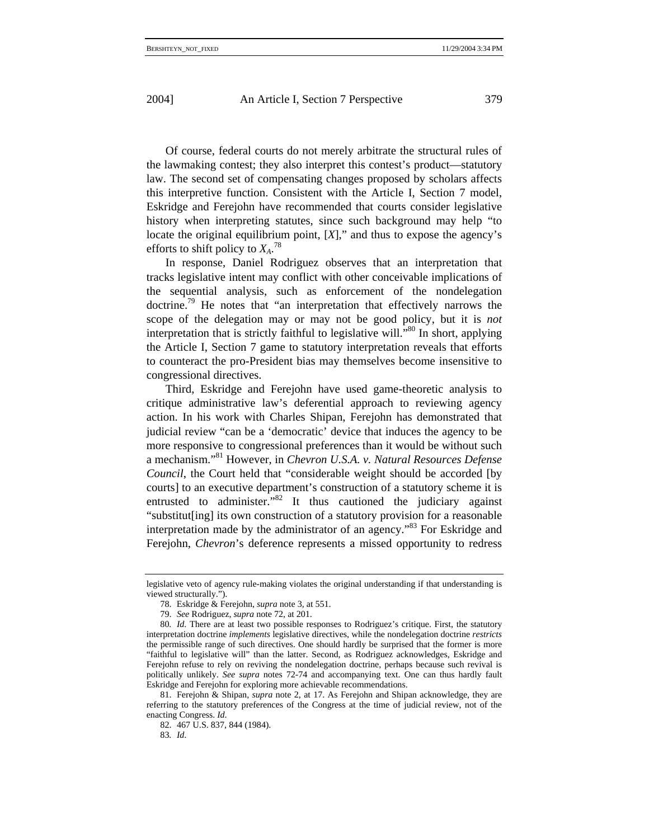Of course, federal courts do not merely arbitrate the structural rules of the lawmaking contest; they also interpret this contest's product—statutory law. The second set of compensating changes proposed by scholars affects this interpretive function. Consistent with the Article I, Section 7 model, Eskridge and Ferejohn have recommended that courts consider legislative history when interpreting statutes, since such background may help "to locate the original equilibrium point,  $[X]$ ," and thus to expose the agency's efforts to shift policy to  $X_A$ .<sup>78</sup>

In response, Daniel Rodriguez observes that an interpretation that tracks legislative intent may conflict with other conceivable implications of the sequential analysis, such as enforcement of the nondelegation doctrine.79 He notes that "an interpretation that effectively narrows the scope of the delegation may or may not be good policy, but it is *not* interpretation that is strictly faithful to legislative will."80 In short, applying the Article I, Section 7 game to statutory interpretation reveals that efforts to counteract the pro-President bias may themselves become insensitive to congressional directives.

Third, Eskridge and Ferejohn have used game-theoretic analysis to critique administrative law's deferential approach to reviewing agency action. In his work with Charles Shipan, Ferejohn has demonstrated that judicial review "can be a 'democratic' device that induces the agency to be more responsive to congressional preferences than it would be without such a mechanism."81 However, in *Chevron U.S.A. v. Natural Resources Defense Council*, the Court held that "considerable weight should be accorded [by courts] to an executive department's construction of a statutory scheme it is entrusted to administer.<sup>"82</sup> It thus cautioned the judiciary against "substitut[ing] its own construction of a statutory provision for a reasonable interpretation made by the administrator of an agency."<sup>83</sup> For Eskridge and Ferejohn, *Chevron*'s deference represents a missed opportunity to redress

83*. Id*.

legislative veto of agency rule-making violates the original understanding if that understanding is viewed structurally.").

<sup>78.</sup> Eskridge & Ferejohn, *supra* note 3, at 551.

<sup>79.</sup> *See* Rodriguez, *supra* note 72, at 201.

<sup>80</sup>*. Id*. There are at least two possible responses to Rodriguez's critique. First, the statutory interpretation doctrine *implements* legislative directives, while the nondelegation doctrine *restricts* the permissible range of such directives. One should hardly be surprised that the former is more "faithful to legislative will" than the latter. Second, as Rodriguez acknowledges, Eskridge and Ferejohn refuse to rely on reviving the nondelegation doctrine, perhaps because such revival is politically unlikely. *See supra* notes 72-74 and accompanying text. One can thus hardly fault Eskridge and Ferejohn for exploring more achievable recommendations.

<sup>81.</sup> Ferejohn & Shipan, *supra* note 2, at 17. As Ferejohn and Shipan acknowledge, they are referring to the statutory preferences of the Congress at the time of judicial review, not of the enacting Congress. *Id*.

<sup>82. 467</sup> U.S. 837, 844 (1984).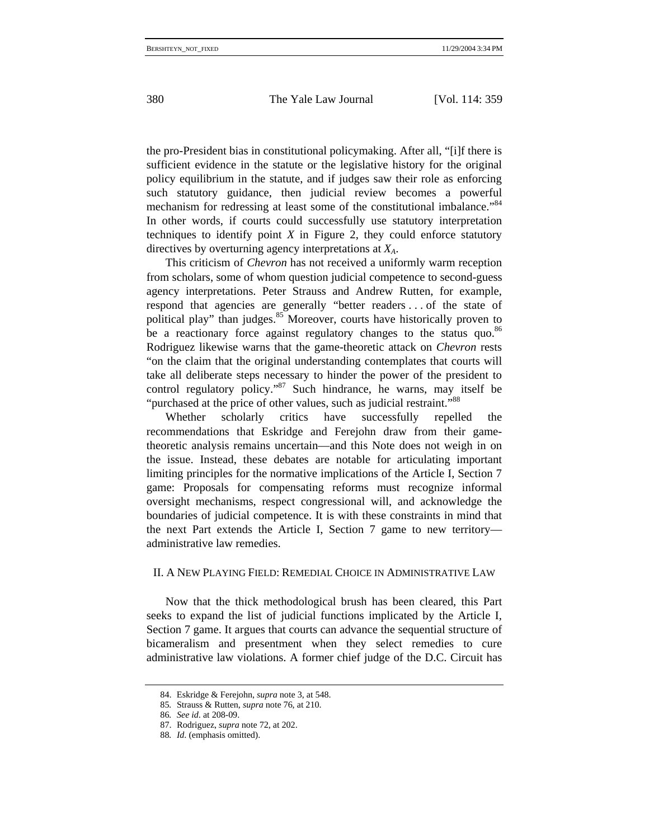the pro-President bias in constitutional policymaking. After all, "[i]f there is sufficient evidence in the statute or the legislative history for the original policy equilibrium in the statute, and if judges saw their role as enforcing such statutory guidance, then judicial review becomes a powerful mechanism for redressing at least some of the constitutional imbalance."<sup>84</sup> In other words, if courts could successfully use statutory interpretation techniques to identify point  $X$  in Figure 2, they could enforce statutory directives by overturning agency interpretations at *XA*.

This criticism of *Chevron* has not received a uniformly warm reception from scholars, some of whom question judicial competence to second-guess agency interpretations. Peter Strauss and Andrew Rutten, for example, respond that agencies are generally "better readers . . . of the state of political play" than judges.<sup>85</sup> Moreover, courts have historically proven to be a reactionary force against regulatory changes to the status quo.<sup>86</sup> Rodriguez likewise warns that the game-theoretic attack on *Chevron* rests "on the claim that the original understanding contemplates that courts will take all deliberate steps necessary to hinder the power of the president to control regulatory policy."<sup>87</sup> Such hindrance, he warns, may itself be "purchased at the price of other values, such as judicial restraint."<sup>88</sup>

Whether scholarly critics have successfully repelled the recommendations that Eskridge and Ferejohn draw from their gametheoretic analysis remains uncertain—and this Note does not weigh in on the issue. Instead, these debates are notable for articulating important limiting principles for the normative implications of the Article I, Section 7 game: Proposals for compensating reforms must recognize informal oversight mechanisms, respect congressional will, and acknowledge the boundaries of judicial competence. It is with these constraints in mind that the next Part extends the Article I, Section 7 game to new territory administrative law remedies.

# II. A NEW PLAYING FIELD: REMEDIAL CHOICE IN ADMINISTRATIVE LAW

Now that the thick methodological brush has been cleared, this Part seeks to expand the list of judicial functions implicated by the Article I, Section 7 game. It argues that courts can advance the sequential structure of bicameralism and presentment when they select remedies to cure administrative law violations. A former chief judge of the D.C. Circuit has

<sup>84.</sup> Eskridge & Ferejohn, *supra* note 3, at 548.

<sup>85</sup>*.* Strauss & Rutten, *supra* note 76, at 210.

<sup>86</sup>*. See id*. at 208-09.

<sup>87.</sup> Rodriguez, *supra* note 72, at 202.

<sup>88</sup>*. Id*. (emphasis omitted).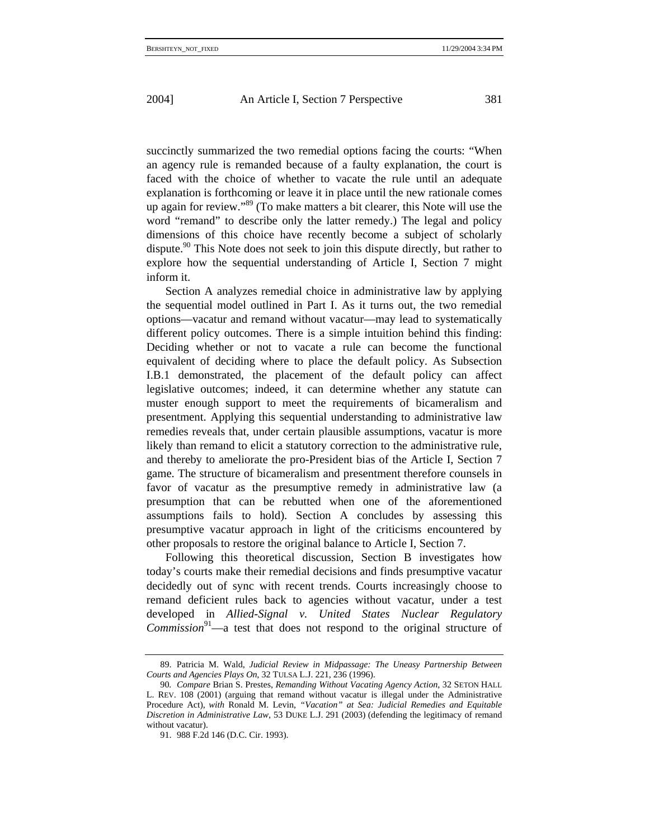succinctly summarized the two remedial options facing the courts: "When an agency rule is remanded because of a faulty explanation, the court is faced with the choice of whether to vacate the rule until an adequate explanation is forthcoming or leave it in place until the new rationale comes up again for review."89 (To make matters a bit clearer, this Note will use the word "remand" to describe only the latter remedy.) The legal and policy dimensions of this choice have recently become a subject of scholarly dispute.<sup>90</sup> This Note does not seek to join this dispute directly, but rather to explore how the sequential understanding of Article I, Section 7 might inform it.

Section A analyzes remedial choice in administrative law by applying the sequential model outlined in Part I. As it turns out, the two remedial options—vacatur and remand without vacatur—may lead to systematically different policy outcomes. There is a simple intuition behind this finding: Deciding whether or not to vacate a rule can become the functional equivalent of deciding where to place the default policy. As Subsection I.B.1 demonstrated, the placement of the default policy can affect legislative outcomes; indeed, it can determine whether any statute can muster enough support to meet the requirements of bicameralism and presentment. Applying this sequential understanding to administrative law remedies reveals that, under certain plausible assumptions, vacatur is more likely than remand to elicit a statutory correction to the administrative rule, and thereby to ameliorate the pro-President bias of the Article I, Section 7 game. The structure of bicameralism and presentment therefore counsels in favor of vacatur as the presumptive remedy in administrative law (a presumption that can be rebutted when one of the aforementioned assumptions fails to hold). Section A concludes by assessing this presumptive vacatur approach in light of the criticisms encountered by other proposals to restore the original balance to Article I, Section 7.

Following this theoretical discussion, Section B investigates how today's courts make their remedial decisions and finds presumptive vacatur decidedly out of sync with recent trends. Courts increasingly choose to remand deficient rules back to agencies without vacatur, under a test developed in *Allied-Signal v. United States Nuclear Regulatory Commission*91—a test that does not respond to the original structure of

<sup>89.</sup> Patricia M. Wald, *Judicial Review in Midpassage: The Uneasy Partnership Between Courts and Agencies Plays On*, 32 TULSA L.J. 221, 236 (1996).

<sup>90</sup>*. Compare* Brian S. Prestes, *Remanding Without Vacating Agency Action*, 32 SETON HALL L. REV. 108 (2001) (arguing that remand without vacatur is illegal under the Administrative Procedure Act), *with* Ronald M. Levin, *"Vacation" at Sea: Judicial Remedies and Equitable Discretion in Administrative Law*, 53 DUKE L.J. 291 (2003) (defending the legitimacy of remand without vacatur).

<sup>91. 988</sup> F.2d 146 (D.C. Cir. 1993).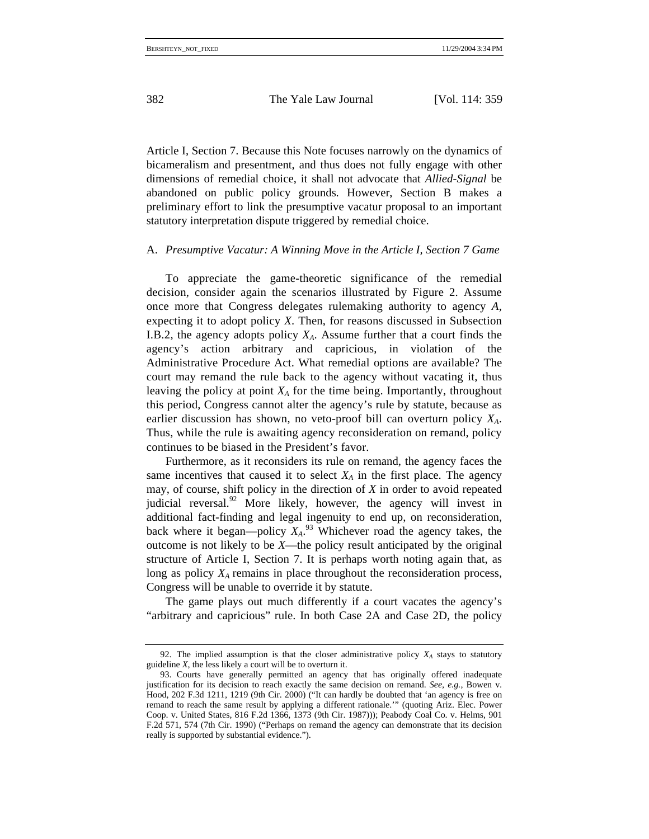Article I, Section 7. Because this Note focuses narrowly on the dynamics of bicameralism and presentment, and thus does not fully engage with other dimensions of remedial choice, it shall not advocate that *Allied-Signal* be abandoned on public policy grounds. However, Section B makes a preliminary effort to link the presumptive vacatur proposal to an important statutory interpretation dispute triggered by remedial choice.

## A. *Presumptive Vacatur: A Winning Move in the Article I, Section 7 Game*

To appreciate the game-theoretic significance of the remedial decision, consider again the scenarios illustrated by Figure 2. Assume once more that Congress delegates rulemaking authority to agency *A*, expecting it to adopt policy *X*. Then, for reasons discussed in Subsection I.B.2, the agency adopts policy  $X_A$ . Assume further that a court finds the agency's action arbitrary and capricious, in violation of the Administrative Procedure Act. What remedial options are available? The court may remand the rule back to the agency without vacating it, thus leaving the policy at point  $X_A$  for the time being. Importantly, throughout this period, Congress cannot alter the agency's rule by statute, because as earlier discussion has shown, no veto-proof bill can overturn policy *XA*. Thus, while the rule is awaiting agency reconsideration on remand, policy continues to be biased in the President's favor.

Furthermore, as it reconsiders its rule on remand, the agency faces the same incentives that caused it to select  $X_A$  in the first place. The agency may, of course, shift policy in the direction of *X* in order to avoid repeated judicial reversal.<sup>92</sup> More likely, however, the agency will invest in additional fact-finding and legal ingenuity to end up, on reconsideration, back where it began—policy  $X_A$ <sup>93</sup> Whichever road the agency takes, the outcome is not likely to be *X*—the policy result anticipated by the original structure of Article I, Section 7. It is perhaps worth noting again that, as long as policy  $X_A$  remains in place throughout the reconsideration process, Congress will be unable to override it by statute.

The game plays out much differently if a court vacates the agency's "arbitrary and capricious" rule. In both Case 2A and Case 2D, the policy

<sup>92.</sup> The implied assumption is that the closer administrative policy  $X_A$  stays to statutory guideline *X*, the less likely a court will be to overturn it.

<sup>93.</sup> Courts have generally permitted an agency that has originally offered inadequate justification for its decision to reach exactly the same decision on remand. *See, e.g.*, Bowen v. Hood, 202 F.3d 1211, 1219 (9th Cir. 2000) ("It can hardly be doubted that 'an agency is free on remand to reach the same result by applying a different rationale.'" (quoting Ariz. Elec. Power Coop. v. United States, 816 F.2d 1366, 1373 (9th Cir. 1987))); Peabody Coal Co. v. Helms, 901 F.2d 571, 574 (7th Cir. 1990) ("Perhaps on remand the agency can demonstrate that its decision really is supported by substantial evidence.").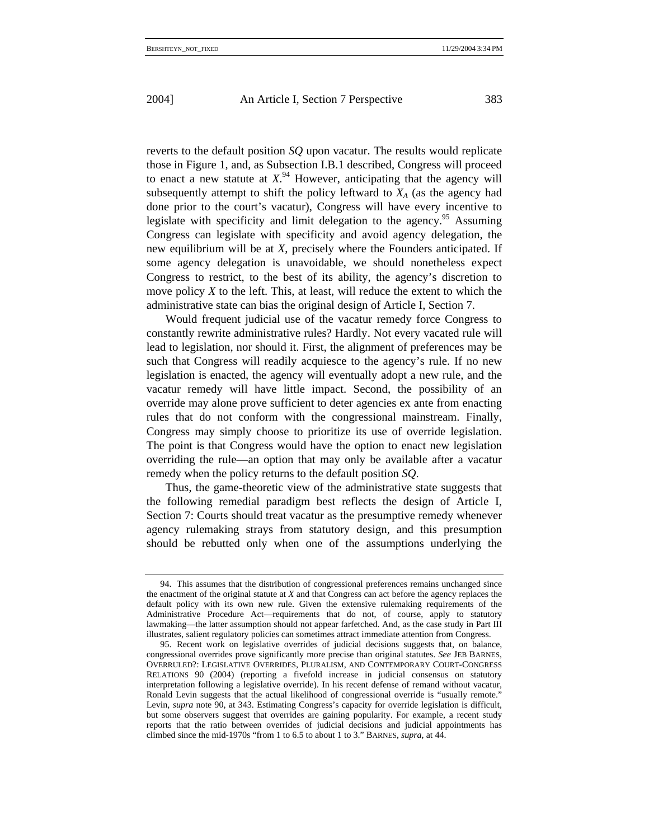reverts to the default position *SQ* upon vacatur. The results would replicate those in Figure 1, and, as Subsection I.B.1 described, Congress will proceed to enact a new statute at  $X^{94}$  However, anticipating that the agency will subsequently attempt to shift the policy leftward to  $X_A$  (as the agency had done prior to the court's vacatur), Congress will have every incentive to legislate with specificity and limit delegation to the agency.<sup>95</sup> Assuming Congress can legislate with specificity and avoid agency delegation, the new equilibrium will be at *X*, precisely where the Founders anticipated. If some agency delegation is unavoidable, we should nonetheless expect Congress to restrict, to the best of its ability, the agency's discretion to move policy *X* to the left. This, at least, will reduce the extent to which the administrative state can bias the original design of Article I, Section 7.

Would frequent judicial use of the vacatur remedy force Congress to constantly rewrite administrative rules? Hardly. Not every vacated rule will lead to legislation, nor should it. First, the alignment of preferences may be such that Congress will readily acquiesce to the agency's rule. If no new legislation is enacted, the agency will eventually adopt a new rule, and the vacatur remedy will have little impact. Second, the possibility of an override may alone prove sufficient to deter agencies ex ante from enacting rules that do not conform with the congressional mainstream. Finally, Congress may simply choose to prioritize its use of override legislation. The point is that Congress would have the option to enact new legislation overriding the rule—an option that may only be available after a vacatur remedy when the policy returns to the default position *SQ*.

Thus, the game-theoretic view of the administrative state suggests that the following remedial paradigm best reflects the design of Article I, Section 7: Courts should treat vacatur as the presumptive remedy whenever agency rulemaking strays from statutory design, and this presumption should be rebutted only when one of the assumptions underlying the

<sup>94.</sup> This assumes that the distribution of congressional preferences remains unchanged since the enactment of the original statute at *X* and that Congress can act before the agency replaces the default policy with its own new rule. Given the extensive rulemaking requirements of the Administrative Procedure Act—requirements that do not, of course, apply to statutory lawmaking—the latter assumption should not appear farfetched. And, as the case study in Part III illustrates, salient regulatory policies can sometimes attract immediate attention from Congress.

<sup>95.</sup> Recent work on legislative overrides of judicial decisions suggests that, on balance, congressional overrides prove significantly more precise than original statutes. *See* JEB BARNES, OVERRULED?: LEGISLATIVE OVERRIDES, PLURALISM, AND CONTEMPORARY COURT-CONGRESS RELATIONS 90 (2004) (reporting a fivefold increase in judicial consensus on statutory interpretation following a legislative override). In his recent defense of remand without vacatur, Ronald Levin suggests that the actual likelihood of congressional override is "usually remote." Levin, *supra* note 90, at 343. Estimating Congress's capacity for override legislation is difficult, but some observers suggest that overrides are gaining popularity. For example, a recent study reports that the ratio between overrides of judicial decisions and judicial appointments has climbed since the mid-1970s "from 1 to 6.5 to about 1 to 3." BARNES, *supra*, at 44.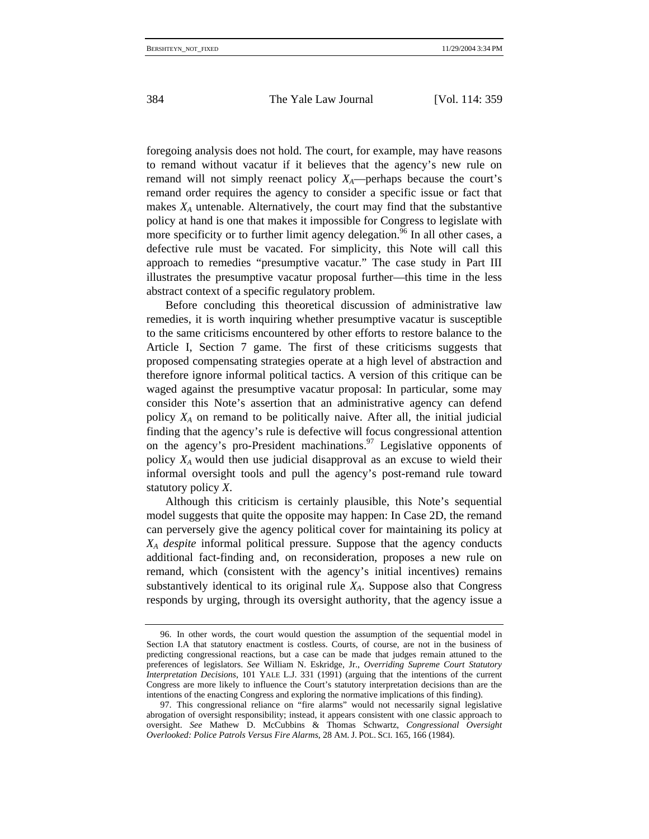foregoing analysis does not hold. The court, for example, may have reasons to remand without vacatur if it believes that the agency's new rule on remand will not simply reenact policy  $X_A$ —perhaps because the court's remand order requires the agency to consider a specific issue or fact that makes  $X_A$  untenable. Alternatively, the court may find that the substantive policy at hand is one that makes it impossible for Congress to legislate with more specificity or to further limit agency delegation.<sup>96</sup> In all other cases, a defective rule must be vacated. For simplicity, this Note will call this approach to remedies "presumptive vacatur." The case study in Part III illustrates the presumptive vacatur proposal further—this time in the less abstract context of a specific regulatory problem.

Before concluding this theoretical discussion of administrative law remedies, it is worth inquiring whether presumptive vacatur is susceptible to the same criticisms encountered by other efforts to restore balance to the Article I, Section 7 game. The first of these criticisms suggests that proposed compensating strategies operate at a high level of abstraction and therefore ignore informal political tactics. A version of this critique can be waged against the presumptive vacatur proposal: In particular, some may consider this Note's assertion that an administrative agency can defend policy  $X_A$  on remand to be politically naive. After all, the initial judicial finding that the agency's rule is defective will focus congressional attention on the agency's pro-President machinations.<sup>97</sup> Legislative opponents of policy *XA* would then use judicial disapproval as an excuse to wield their informal oversight tools and pull the agency's post-remand rule toward statutory policy *X*.

Although this criticism is certainly plausible, this Note's sequential model suggests that quite the opposite may happen: In Case 2D, the remand can perversely give the agency political cover for maintaining its policy at *XA despite* informal political pressure. Suppose that the agency conducts additional fact-finding and, on reconsideration, proposes a new rule on remand, which (consistent with the agency's initial incentives) remains substantively identical to its original rule  $X_A$ . Suppose also that Congress responds by urging, through its oversight authority, that the agency issue a

<sup>96.</sup> In other words, the court would question the assumption of the sequential model in Section I.A that statutory enactment is costless. Courts, of course, are not in the business of predicting congressional reactions, but a case can be made that judges remain attuned to the preferences of legislators. *See* William N. Eskridge, Jr., *Overriding Supreme Court Statutory Interpretation Decisions*, 101 YALE L.J. 331 (1991) (arguing that the intentions of the current Congress are more likely to influence the Court's statutory interpretation decisions than are the intentions of the enacting Congress and exploring the normative implications of this finding).

<sup>97.</sup> This congressional reliance on "fire alarms" would not necessarily signal legislative abrogation of oversight responsibility; instead, it appears consistent with one classic approach to oversight. *See* Mathew D. McCubbins & Thomas Schwartz, *Congressional Oversight Overlooked: Police Patrols Versus Fire Alarms*, 28 AM. J. POL. SCI. 165, 166 (1984).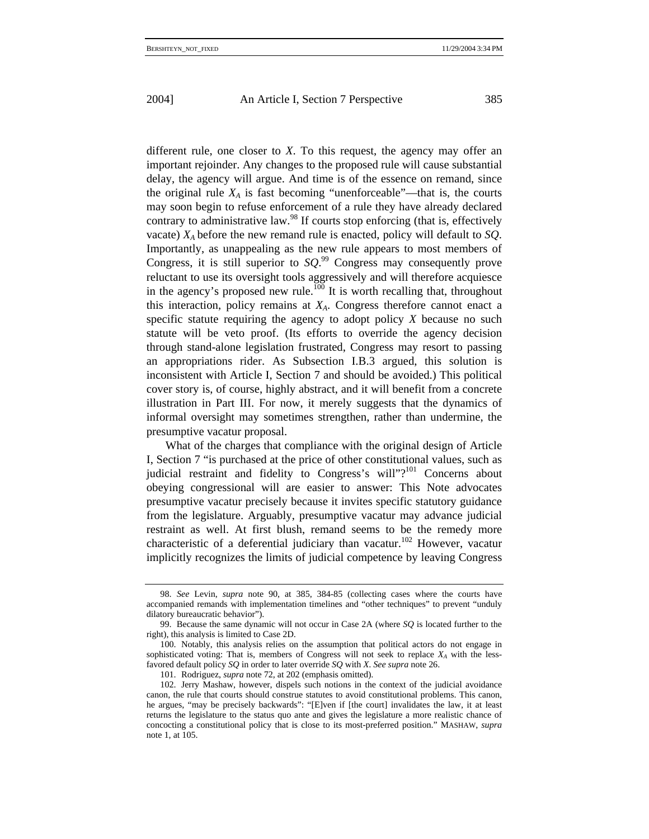different rule, one closer to *X*. To this request, the agency may offer an important rejoinder. Any changes to the proposed rule will cause substantial delay, the agency will argue. And time is of the essence on remand, since the original rule  $X_A$  is fast becoming "unenforceable"—that is, the courts may soon begin to refuse enforcement of a rule they have already declared contrary to administrative law.<sup>98</sup> If courts stop enforcing (that is, effectively vacate) *XA* before the new remand rule is enacted, policy will default to *SQ*. Importantly, as unappealing as the new rule appears to most members of Congress, it is still superior to  $SQ^{99}$  Congress may consequently prove reluctant to use its oversight tools aggressively and will therefore acquiesce in the agency's proposed new rule.<sup>100</sup> It is worth recalling that, throughout this interaction, policy remains at  $X_A$ . Congress therefore cannot enact a specific statute requiring the agency to adopt policy *X* because no such statute will be veto proof. (Its efforts to override the agency decision through stand-alone legislation frustrated, Congress may resort to passing an appropriations rider. As Subsection I.B.3 argued, this solution is inconsistent with Article I, Section 7 and should be avoided.) This political cover story is, of course, highly abstract, and it will benefit from a concrete illustration in Part III. For now, it merely suggests that the dynamics of informal oversight may sometimes strengthen, rather than undermine, the presumptive vacatur proposal.

What of the charges that compliance with the original design of Article I, Section 7 "is purchased at the price of other constitutional values, such as judicial restraint and fidelity to Congress's will"?<sup>101</sup> Concerns about obeying congressional will are easier to answer: This Note advocates presumptive vacatur precisely because it invites specific statutory guidance from the legislature. Arguably, presumptive vacatur may advance judicial restraint as well. At first blush, remand seems to be the remedy more characteristic of a deferential judiciary than vacatur.<sup>102</sup> However, vacatur implicitly recognizes the limits of judicial competence by leaving Congress

<sup>98.</sup> *See* Levin, *supra* note 90, at 385, 384-85 (collecting cases where the courts have accompanied remands with implementation timelines and "other techniques" to prevent "unduly dilatory bureaucratic behavior").

<sup>99.</sup> Because the same dynamic will not occur in Case 2A (where *SQ* is located further to the right), this analysis is limited to Case 2D.

<sup>100.</sup> Notably, this analysis relies on the assumption that political actors do not engage in sophisticated voting: That is, members of Congress will not seek to replace  $X_A$  with the lessfavored default policy *SQ* in order to later override *SQ* with *X*. *See supra* note 26.

<sup>101.</sup> Rodriguez, *supra* note 72, at 202 (emphasis omitted).

<sup>102.</sup> Jerry Mashaw, however, dispels such notions in the context of the judicial avoidance canon, the rule that courts should construe statutes to avoid constitutional problems. This canon, he argues, "may be precisely backwards": "[E]ven if [the court] invalidates the law, it at least returns the legislature to the status quo ante and gives the legislature a more realistic chance of concocting a constitutional policy that is close to its most-preferred position." MASHAW, *supra* note 1, at 105.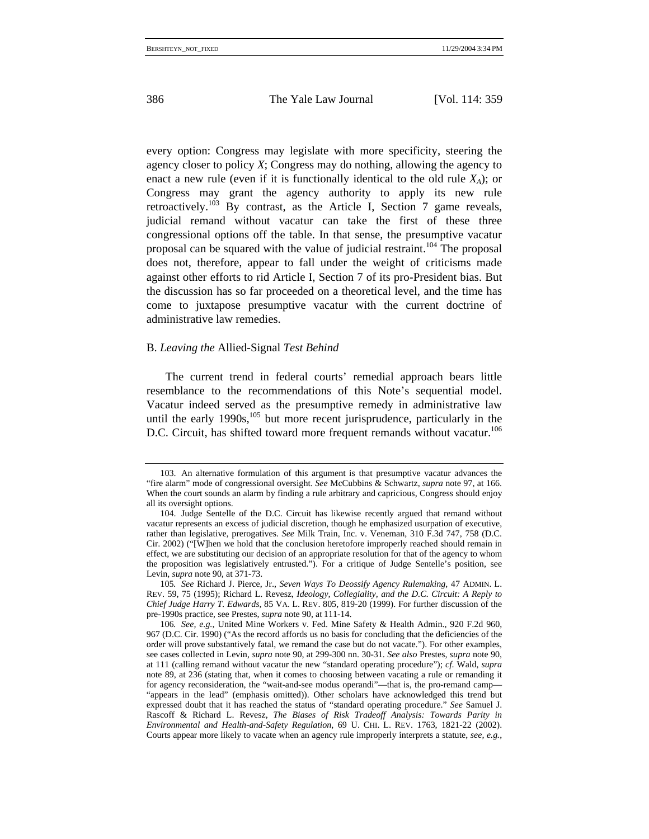every option: Congress may legislate with more specificity, steering the agency closer to policy *X*; Congress may do nothing, allowing the agency to enact a new rule (even if it is functionally identical to the old rule  $X_A$ ); or Congress may grant the agency authority to apply its new rule retroactively.<sup>103</sup> By contrast, as the Article I, Section 7 game reveals, judicial remand without vacatur can take the first of these three congressional options off the table. In that sense, the presumptive vacatur proposal can be squared with the value of judicial restraint.104 The proposal does not, therefore, appear to fall under the weight of criticisms made against other efforts to rid Article I, Section 7 of its pro-President bias. But the discussion has so far proceeded on a theoretical level, and the time has come to juxtapose presumptive vacatur with the current doctrine of administrative law remedies.

## B. *Leaving the* Allied-Signal *Test Behind*

The current trend in federal courts' remedial approach bears little resemblance to the recommendations of this Note's sequential model. Vacatur indeed served as the presumptive remedy in administrative law until the early 1990s,<sup>105</sup> but more recent jurisprudence, particularly in the D.C. Circuit, has shifted toward more frequent remands without vacatur.<sup>106</sup>

<sup>103.</sup> An alternative formulation of this argument is that presumptive vacatur advances the "fire alarm" mode of congressional oversight. *See* McCubbins & Schwartz, *supra* note 97, at 166. When the court sounds an alarm by finding a rule arbitrary and capricious, Congress should enjoy all its oversight options.

<sup>104.</sup> Judge Sentelle of the D.C. Circuit has likewise recently argued that remand without vacatur represents an excess of judicial discretion, though he emphasized usurpation of executive, rather than legislative, prerogatives. *See* Milk Train, Inc. v. Veneman, 310 F.3d 747, 758 (D.C. Cir. 2002) ("[W]hen we hold that the conclusion heretofore improperly reached should remain in effect, we are substituting our decision of an appropriate resolution for that of the agency to whom the proposition was legislatively entrusted."). For a critique of Judge Sentelle's position, see Levin, *supra* note 90, at 371-73.

<sup>105</sup>*. See* Richard J. Pierce, Jr., *Seven Ways To Deossify Agency Rulemaking*, 47 ADMIN. L. REV. 59, 75 (1995); Richard L. Revesz, *Ideology, Collegiality, and the D.C. Circuit: A Reply to Chief Judge Harry T. Edwards*, 85 VA. L. REV. 805, 819-20 (1999). For further discussion of the pre-1990s practice, see Prestes, *supra* note 90, at 111-14.

<sup>106</sup>*. See, e.g.*, United Mine Workers v. Fed. Mine Safety & Health Admin., 920 F.2d 960, 967 (D.C. Cir. 1990) ("As the record affords us no basis for concluding that the deficiencies of the order will prove substantively fatal, we remand the case but do not vacate."). For other examples, see cases collected in Levin, *supra* note 90, at 299-300 nn. 30-31. *See also* Prestes, *supra* note 90, at 111 (calling remand without vacatur the new "standard operating procedure"); *cf*. Wald, *supra* note 89, at 236 (stating that, when it comes to choosing between vacating a rule or remanding it for agency reconsideration, the "wait-and-see modus operandi"—that is, the pro-remand camp— "appears in the lead" (emphasis omitted)). Other scholars have acknowledged this trend but expressed doubt that it has reached the status of "standard operating procedure." *See* Samuel J. Rascoff & Richard L. Revesz, *The Biases of Risk Tradeoff Analysis: Towards Parity in Environmental and Health-and-Safety Regulation*, 69 U. CHI. L. REV. 1763, 1821-22 (2002). Courts appear more likely to vacate when an agency rule improperly interprets a statute, *see, e.g.*,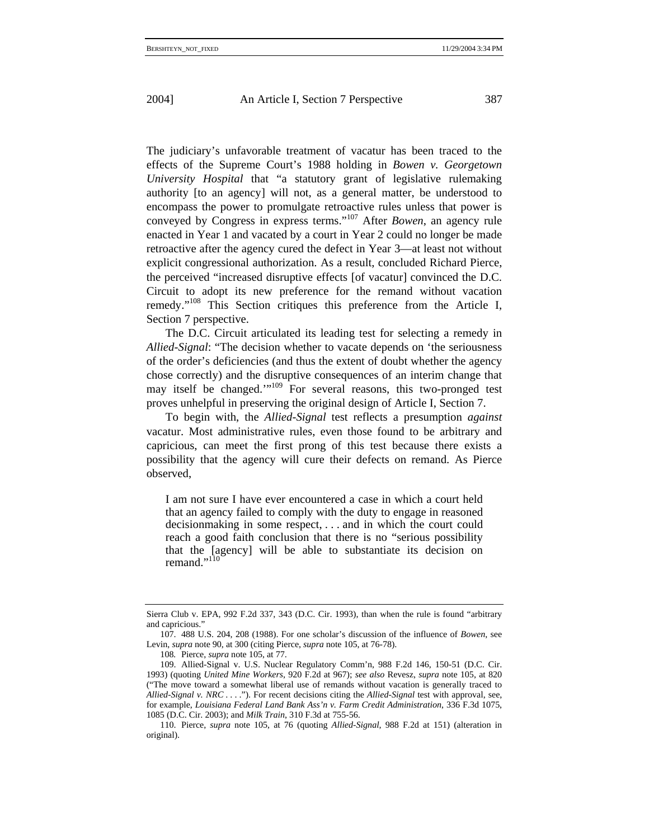The judiciary's unfavorable treatment of vacatur has been traced to the effects of the Supreme Court's 1988 holding in *Bowen v. Georgetown University Hospital* that "a statutory grant of legislative rulemaking authority [to an agency] will not, as a general matter, be understood to encompass the power to promulgate retroactive rules unless that power is conveyed by Congress in express terms."107 After *Bowen*, an agency rule enacted in Year 1 and vacated by a court in Year 2 could no longer be made retroactive after the agency cured the defect in Year 3—at least not without explicit congressional authorization. As a result, concluded Richard Pierce, the perceived "increased disruptive effects [of vacatur] convinced the D.C. Circuit to adopt its new preference for the remand without vacation remedy."108 This Section critiques this preference from the Article I, Section 7 perspective.

The D.C. Circuit articulated its leading test for selecting a remedy in *Allied-Signal*: "The decision whether to vacate depends on 'the seriousness of the order's deficiencies (and thus the extent of doubt whether the agency chose correctly) and the disruptive consequences of an interim change that may itself be changed.'"<sup>109</sup> For several reasons, this two-pronged test proves unhelpful in preserving the original design of Article I, Section 7.

To begin with, the *Allied-Signal* test reflects a presumption *against* vacatur. Most administrative rules, even those found to be arbitrary and capricious, can meet the first prong of this test because there exists a possibility that the agency will cure their defects on remand. As Pierce observed,

I am not sure I have ever encountered a case in which a court held that an agency failed to comply with the duty to engage in reasoned decisionmaking in some respect, . . . and in which the court could reach a good faith conclusion that there is no "serious possibility that the [agency] will be able to substantiate its decision on remand." $11$ <sup>11</sup>

Sierra Club v. EPA, 992 F.2d 337, 343 (D.C. Cir. 1993), than when the rule is found "arbitrary and capricious."

<sup>107. 488</sup> U.S. 204, 208 (1988). For one scholar's discussion of the influence of *Bowen*, see Levin, *supra* note 90, at 300 (citing Pierce, *supra* note 105, at 76-78).

<sup>108</sup>*.* Pierce, *supra* note 105, at 77.

<sup>109.</sup> Allied-Signal v. U.S. Nuclear Regulatory Comm'n, 988 F.2d 146, 150-51 (D.C. Cir. 1993) (quoting *United Mine Workers*, 920 F.2d at 967); *see also* Revesz, *supra* note 105, at 820 ("The move toward a somewhat liberal use of remands without vacation is generally traced to *Allied-Signal v. NRC* . . . ."). For recent decisions citing the *Allied-Signal* test with approval, see, for example, *Louisiana Federal Land Bank Ass'n v. Farm Credit Administration*, 336 F.3d 1075, 1085 (D.C. Cir. 2003); and *Milk Train*, 310 F.3d at 755-56.

<sup>110.</sup> Pierce, *supra* note 105, at 76 (quoting *Allied-Signal*, 988 F.2d at 151) (alteration in original).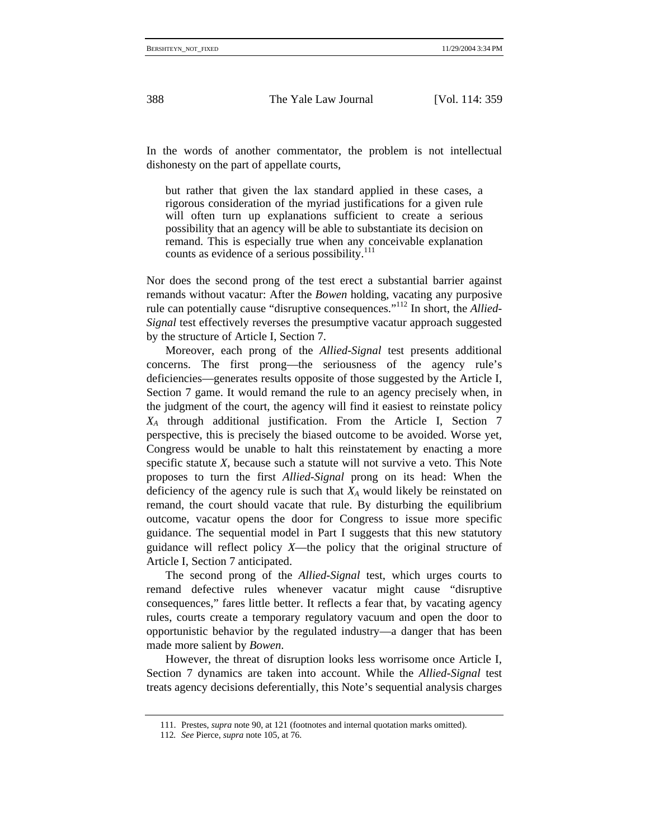In the words of another commentator, the problem is not intellectual dishonesty on the part of appellate courts,

but rather that given the lax standard applied in these cases, a rigorous consideration of the myriad justifications for a given rule will often turn up explanations sufficient to create a serious possibility that an agency will be able to substantiate its decision on remand. This is especially true when any conceivable explanation counts as evidence of a serious possibility. $111$ 

Nor does the second prong of the test erect a substantial barrier against remands without vacatur: After the *Bowen* holding, vacating any purposive rule can potentially cause "disruptive consequences."112 In short, the *Allied-Signal* test effectively reverses the presumptive vacatur approach suggested by the structure of Article I, Section 7.

Moreover, each prong of the *Allied-Signal* test presents additional concerns. The first prong—the seriousness of the agency rule's deficiencies—generates results opposite of those suggested by the Article I, Section 7 game. It would remand the rule to an agency precisely when, in the judgment of the court, the agency will find it easiest to reinstate policy *XA* through additional justification. From the Article I, Section 7 perspective, this is precisely the biased outcome to be avoided. Worse yet, Congress would be unable to halt this reinstatement by enacting a more specific statute *X*, because such a statute will not survive a veto. This Note proposes to turn the first *Allied-Signal* prong on its head: When the deficiency of the agency rule is such that  $X_A$  would likely be reinstated on remand, the court should vacate that rule. By disturbing the equilibrium outcome, vacatur opens the door for Congress to issue more specific guidance. The sequential model in Part I suggests that this new statutory guidance will reflect policy *X*—the policy that the original structure of Article I, Section 7 anticipated.

The second prong of the *Allied-Signal* test, which urges courts to remand defective rules whenever vacatur might cause "disruptive consequences," fares little better. It reflects a fear that, by vacating agency rules, courts create a temporary regulatory vacuum and open the door to opportunistic behavior by the regulated industry—a danger that has been made more salient by *Bowen*.

However, the threat of disruption looks less worrisome once Article I, Section 7 dynamics are taken into account. While the *Allied-Signal* test treats agency decisions deferentially, this Note's sequential analysis charges

<sup>111.</sup> Prestes, *supra* note 90, at 121 (footnotes and internal quotation marks omitted).

<sup>112</sup>*. See* Pierce, *supra* note 105, at 76.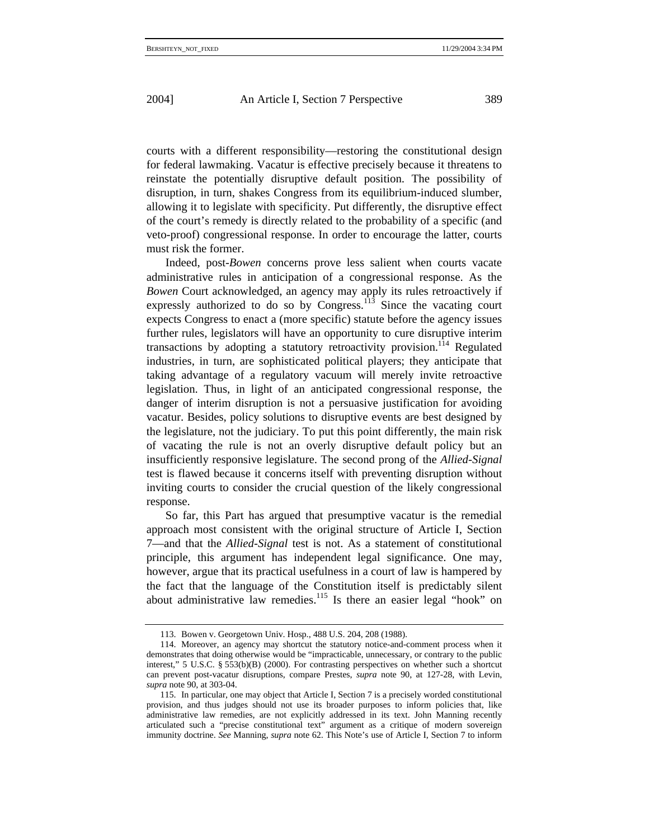courts with a different responsibility—restoring the constitutional design for federal lawmaking. Vacatur is effective precisely because it threatens to reinstate the potentially disruptive default position. The possibility of disruption, in turn, shakes Congress from its equilibrium-induced slumber, allowing it to legislate with specificity. Put differently, the disruptive effect of the court's remedy is directly related to the probability of a specific (and veto-proof) congressional response. In order to encourage the latter, courts must risk the former.

Indeed, post-*Bowen* concerns prove less salient when courts vacate administrative rules in anticipation of a congressional response. As the *Bowen* Court acknowledged, an agency may apply its rules retroactively if expressly authorized to do so by Congress.<sup>113</sup> Since the vacating court expects Congress to enact a (more specific) statute before the agency issues further rules, legislators will have an opportunity to cure disruptive interim transactions by adopting a statutory retroactivity provision.<sup>114</sup> Regulated industries, in turn, are sophisticated political players; they anticipate that taking advantage of a regulatory vacuum will merely invite retroactive legislation. Thus, in light of an anticipated congressional response, the danger of interim disruption is not a persuasive justification for avoiding vacatur. Besides, policy solutions to disruptive events are best designed by the legislature, not the judiciary. To put this point differently, the main risk of vacating the rule is not an overly disruptive default policy but an insufficiently responsive legislature. The second prong of the *Allied-Signal* test is flawed because it concerns itself with preventing disruption without inviting courts to consider the crucial question of the likely congressional response.

So far, this Part has argued that presumptive vacatur is the remedial approach most consistent with the original structure of Article I, Section 7—and that the *Allied-Signal* test is not. As a statement of constitutional principle, this argument has independent legal significance. One may, however, argue that its practical usefulness in a court of law is hampered by the fact that the language of the Constitution itself is predictably silent about administrative law remedies.<sup>115</sup> Is there an easier legal "hook" on

<sup>113.</sup> Bowen v. Georgetown Univ. Hosp., 488 U.S. 204, 208 (1988).

<sup>114.</sup> Moreover, an agency may shortcut the statutory notice-and-comment process when it demonstrates that doing otherwise would be "impracticable, unnecessary, or contrary to the public interest," 5 U.S.C. § 553(b)(B) (2000). For contrasting perspectives on whether such a shortcut can prevent post-vacatur disruptions, compare Prestes, *supra* note 90, at 127-28, with Levin, *supra* note 90, at 303-04.

<sup>115.</sup> In particular, one may object that Article I, Section 7 is a precisely worded constitutional provision, and thus judges should not use its broader purposes to inform policies that, like administrative law remedies, are not explicitly addressed in its text. John Manning recently articulated such a "precise constitutional text" argument as a critique of modern sovereign immunity doctrine. *See* Manning, *supra* note 62. This Note's use of Article I, Section 7 to inform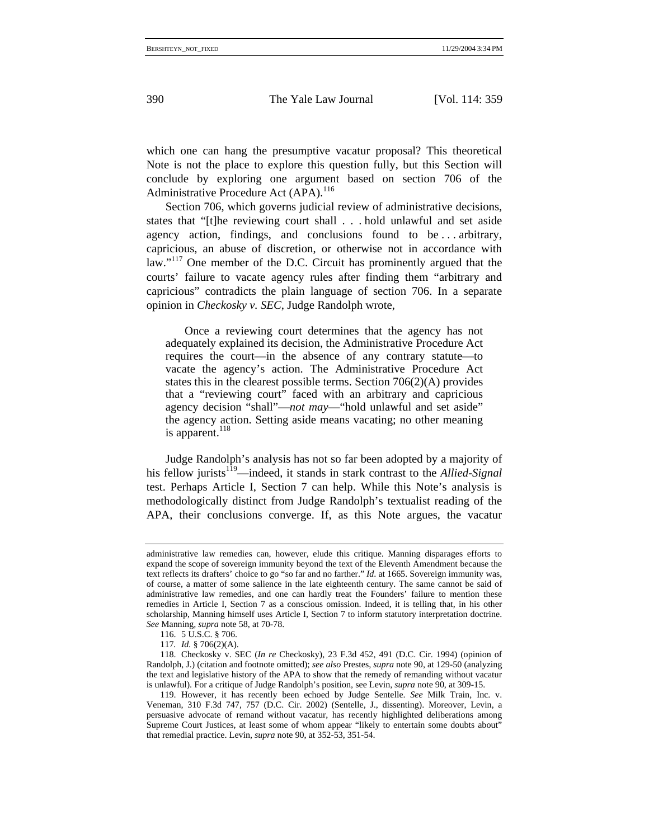which one can hang the presumptive vacatur proposal? This theoretical Note is not the place to explore this question fully, but this Section will conclude by exploring one argument based on section 706 of the Administrative Procedure Act (APA).<sup>116</sup>

Section 706, which governs judicial review of administrative decisions, states that "[t]he reviewing court shall . . . hold unlawful and set aside agency action, findings, and conclusions found to be . . . arbitrary, capricious, an abuse of discretion, or otherwise not in accordance with law."<sup>117</sup> One member of the D.C. Circuit has prominently argued that the courts' failure to vacate agency rules after finding them "arbitrary and capricious" contradicts the plain language of section 706. In a separate opinion in *Checkosky v. SEC*, Judge Randolph wrote,

Once a reviewing court determines that the agency has not adequately explained its decision, the Administrative Procedure Act requires the court—in the absence of any contrary statute—to vacate the agency's action. The Administrative Procedure Act states this in the clearest possible terms. Section 706(2)(A) provides that a "reviewing court" faced with an arbitrary and capricious agency decision "shall"—*not may*—"hold unlawful and set aside" the agency action. Setting aside means vacating; no other meaning is apparent.<sup>118</sup>

Judge Randolph's analysis has not so far been adopted by a majority of his fellow jurists<sup>119</sup>—indeed, it stands in stark contrast to the *Allied-Signal* test. Perhaps Article I, Section 7 can help. While this Note's analysis is methodologically distinct from Judge Randolph's textualist reading of the APA, their conclusions converge. If, as this Note argues, the vacatur

administrative law remedies can, however, elude this critique. Manning disparages efforts to expand the scope of sovereign immunity beyond the text of the Eleventh Amendment because the text reflects its drafters' choice to go "so far and no farther." *Id*. at 1665. Sovereign immunity was, of course, a matter of some salience in the late eighteenth century. The same cannot be said of administrative law remedies, and one can hardly treat the Founders' failure to mention these remedies in Article I, Section 7 as a conscious omission. Indeed, it is telling that, in his other scholarship, Manning himself uses Article I, Section 7 to inform statutory interpretation doctrine. *See* Manning, *supra* note 58, at 70-78.

<sup>116. 5</sup> U.S.C. § 706.

<sup>117</sup>*. Id.* § 706(2)(A).

<sup>118.</sup> Checkosky v. SEC (*In re* Checkosky), 23 F.3d 452, 491 (D.C. Cir. 1994) (opinion of Randolph, J.) (citation and footnote omitted); *see also* Prestes, *supra* note 90, at 129-50 (analyzing the text and legislative history of the APA to show that the remedy of remanding without vacatur is unlawful). For a critique of Judge Randolph's position, see Levin, *supra* note 90, at 309-15.

<sup>119.</sup> However, it has recently been echoed by Judge Sentelle. *See* Milk Train, Inc. v. Veneman, 310 F.3d 747, 757 (D.C. Cir. 2002) (Sentelle, J., dissenting). Moreover, Levin, a persuasive advocate of remand without vacatur, has recently highlighted deliberations among Supreme Court Justices, at least some of whom appear "likely to entertain some doubts about" that remedial practice. Levin, *supra* note 90, at 352-53, 351-54.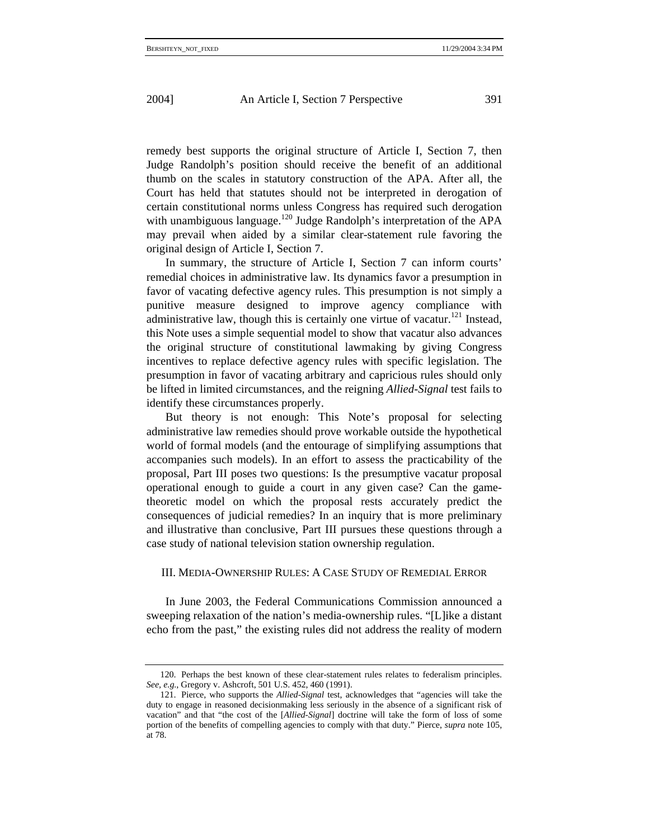remedy best supports the original structure of Article I, Section 7, then Judge Randolph's position should receive the benefit of an additional thumb on the scales in statutory construction of the APA. After all, the Court has held that statutes should not be interpreted in derogation of certain constitutional norms unless Congress has required such derogation with unambiguous language.<sup>120</sup> Judge Randolph's interpretation of the APA may prevail when aided by a similar clear-statement rule favoring the original design of Article I, Section 7.

In summary, the structure of Article I, Section 7 can inform courts' remedial choices in administrative law. Its dynamics favor a presumption in favor of vacating defective agency rules. This presumption is not simply a punitive measure designed to improve agency compliance with administrative law, though this is certainly one virtue of vacatur.<sup>121</sup> Instead, this Note uses a simple sequential model to show that vacatur also advances the original structure of constitutional lawmaking by giving Congress incentives to replace defective agency rules with specific legislation. The presumption in favor of vacating arbitrary and capricious rules should only be lifted in limited circumstances, and the reigning *Allied-Signal* test fails to identify these circumstances properly.

But theory is not enough: This Note's proposal for selecting administrative law remedies should prove workable outside the hypothetical world of formal models (and the entourage of simplifying assumptions that accompanies such models). In an effort to assess the practicability of the proposal, Part III poses two questions: Is the presumptive vacatur proposal operational enough to guide a court in any given case? Can the gametheoretic model on which the proposal rests accurately predict the consequences of judicial remedies? In an inquiry that is more preliminary and illustrative than conclusive, Part III pursues these questions through a case study of national television station ownership regulation.

## III. MEDIA-OWNERSHIP RULES: A CASE STUDY OF REMEDIAL ERROR

In June 2003, the Federal Communications Commission announced a sweeping relaxation of the nation's media-ownership rules. "[L]ike a distant echo from the past," the existing rules did not address the reality of modern

<sup>120.</sup> Perhaps the best known of these clear-statement rules relates to federalism principles. *See, e.g.*, Gregory v. Ashcroft, 501 U.S. 452, 460 (1991).

<sup>121.</sup> Pierce, who supports the *Allied-Signal* test, acknowledges that "agencies will take the duty to engage in reasoned decisionmaking less seriously in the absence of a significant risk of vacation" and that "the cost of the [*Allied-Signal*] doctrine will take the form of loss of some portion of the benefits of compelling agencies to comply with that duty." Pierce, *supra* note 105, at 78.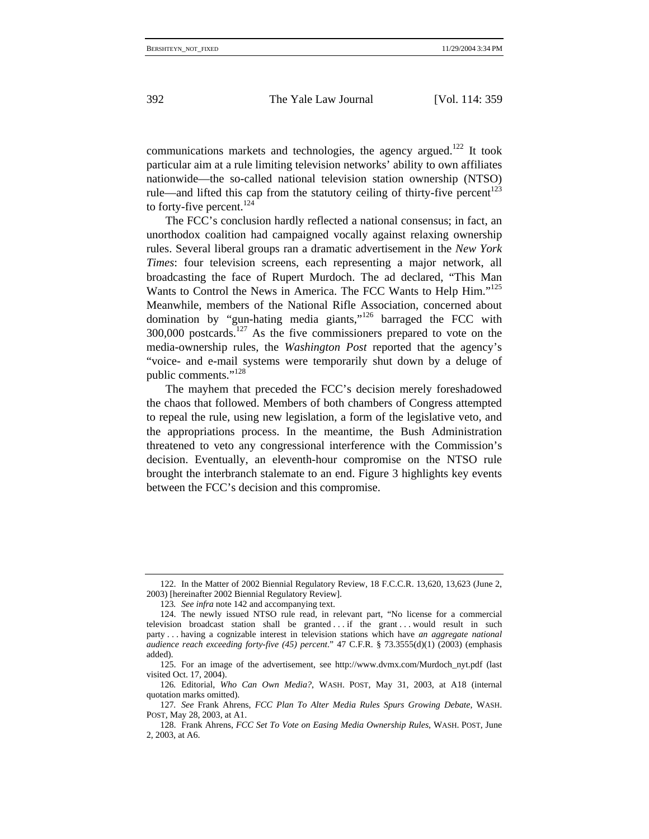communications markets and technologies, the agency argued.<sup>122</sup> It took particular aim at a rule limiting television networks' ability to own affiliates nationwide—the so-called national television station ownership (NTSO) rule—and lifted this cap from the statutory ceiling of thirty-five percent<sup>123</sup> to forty-five percent.<sup>124</sup>

The FCC's conclusion hardly reflected a national consensus; in fact, an unorthodox coalition had campaigned vocally against relaxing ownership rules. Several liberal groups ran a dramatic advertisement in the *New York Times*: four television screens, each representing a major network, all broadcasting the face of Rupert Murdoch. The ad declared, "This Man Wants to Control the News in America. The FCC Wants to Help Him."<sup>125</sup> Meanwhile, members of the National Rifle Association, concerned about domination by "gun-hating media giants,"<sup>126</sup> barraged the FCC with  $300,000$  postcards.<sup>127</sup> As the five commissioners prepared to vote on the media-ownership rules, the *Washington Post* reported that the agency's "voice- and e-mail systems were temporarily shut down by a deluge of public comments."<sup>128</sup>

The mayhem that preceded the FCC's decision merely foreshadowed the chaos that followed. Members of both chambers of Congress attempted to repeal the rule, using new legislation, a form of the legislative veto, and the appropriations process. In the meantime, the Bush Administration threatened to veto any congressional interference with the Commission's decision. Eventually, an eleventh-hour compromise on the NTSO rule brought the interbranch stalemate to an end. Figure 3 highlights key events between the FCC's decision and this compromise.

<sup>122.</sup> In the Matter of 2002 Biennial Regulatory Review, 18 F.C.C.R. 13,620, 13,623 (June 2, 2003) [hereinafter 2002 Biennial Regulatory Review].

<sup>123</sup>*. See infra* note 142 and accompanying text.

<sup>124.</sup> The newly issued NTSO rule read, in relevant part, "No license for a commercial television broadcast station shall be granted . . . if the grant . . . would result in such party . . . having a cognizable interest in television stations which have *an aggregate national audience reach exceeding forty-five (45) percent*." 47 C.F.R. § 73.3555(d)(1) (2003) (emphasis added).

<sup>125.</sup> For an image of the advertisement, see http://www.dvmx.com/Murdoch\_nyt.pdf (last visited Oct. 17, 2004).

<sup>126</sup>*.* Editorial, *Who Can Own Media?*, WASH. POST, May 31, 2003, at A18 (internal quotation marks omitted).

<sup>127</sup>*. See* Frank Ahrens, *FCC Plan To Alter Media Rules Spurs Growing Debate*, WASH. POST, May 28, 2003, at A1.

<sup>128.</sup> Frank Ahrens, *FCC Set To Vote on Easing Media Ownership Rules*, WASH. POST, June 2, 2003, at A6.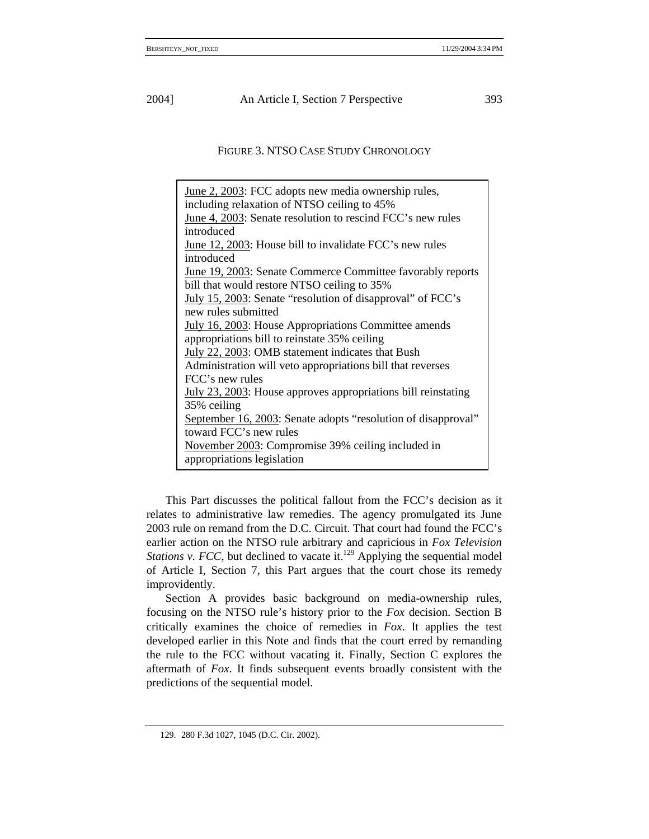FIGURE 3. NTSO CASE STUDY CHRONOLOGY

June 2, 2003: FCC adopts new media ownership rules, including relaxation of NTSO ceiling to 45% June 4, 2003: Senate resolution to rescind FCC's new rules introduced June 12, 2003: House bill to invalidate FCC's new rules introduced June 19, 2003: Senate Commerce Committee favorably reports bill that would restore NTSO ceiling to 35% July 15, 2003: Senate "resolution of disapproval" of FCC's new rules submitted July 16, 2003: House Appropriations Committee amends appropriations bill to reinstate 35% ceiling July 22, 2003: OMB statement indicates that Bush Administration will veto appropriations bill that reverses FCC's new rules July 23, 2003: House approves appropriations bill reinstating 35% ceiling September 16, 2003: Senate adopts "resolution of disapproval" toward FCC's new rules November 2003: Compromise 39% ceiling included in appropriations legislation

This Part discusses the political fallout from the FCC's decision as it relates to administrative law remedies. The agency promulgated its June 2003 rule on remand from the D.C. Circuit. That court had found the FCC's earlier action on the NTSO rule arbitrary and capricious in *Fox Television Stations v. FCC*, but declined to vacate it.<sup>129</sup> Applying the sequential model of Article I, Section 7, this Part argues that the court chose its remedy improvidently.

Section A provides basic background on media-ownership rules, focusing on the NTSO rule's history prior to the *Fox* decision. Section B critically examines the choice of remedies in *Fox*. It applies the test developed earlier in this Note and finds that the court erred by remanding the rule to the FCC without vacating it. Finally, Section C explores the aftermath of *Fox*. It finds subsequent events broadly consistent with the predictions of the sequential model.

<sup>129. 280</sup> F.3d 1027, 1045 (D.C. Cir. 2002).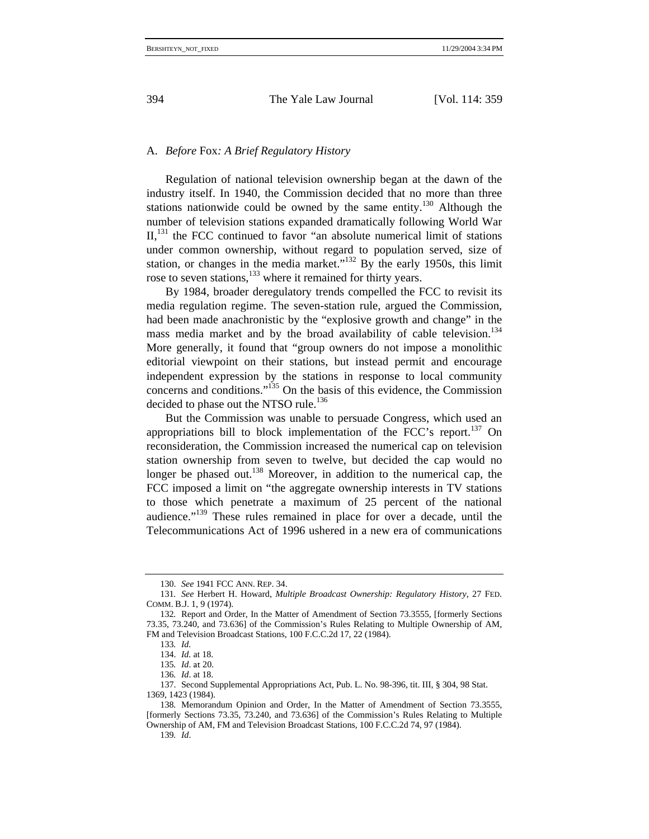### A. *Before* Fox*: A Brief Regulatory History*

Regulation of national television ownership began at the dawn of the industry itself. In 1940, the Commission decided that no more than three stations nationwide could be owned by the same entity.<sup>130</sup> Although the number of television stations expanded dramatically following World War  $II$ ,<sup>131</sup>, the FCC continued to favor "an absolute numerical limit of stations" under common ownership, without regard to population served, size of station, or changes in the media market."132 By the early 1950s, this limit rose to seven stations,<sup>133</sup> where it remained for thirty years.

By 1984, broader deregulatory trends compelled the FCC to revisit its media regulation regime. The seven-station rule, argued the Commission, had been made anachronistic by the "explosive growth and change" in the mass media market and by the broad availability of cable television.<sup>134</sup> More generally, it found that "group owners do not impose a monolithic editorial viewpoint on their stations, but instead permit and encourage independent expression by the stations in response to local community concerns and conditions."135 On the basis of this evidence, the Commission decided to phase out the NTSO rule.<sup>136</sup>

But the Commission was unable to persuade Congress, which used an appropriations bill to block implementation of the FCC's report.<sup>137</sup> On reconsideration, the Commission increased the numerical cap on television station ownership from seven to twelve, but decided the cap would no longer be phased out.<sup>138</sup> Moreover, in addition to the numerical cap, the FCC imposed a limit on "the aggregate ownership interests in TV stations to those which penetrate a maximum of 25 percent of the national audience."139 These rules remained in place for over a decade, until the Telecommunications Act of 1996 ushered in a new era of communications

<sup>130.</sup> *See* 1941 FCC ANN. REP. 34.

<sup>131</sup>*. See* Herbert H. Howard, *Multiple Broadcast Ownership: Regulatory History*, 27 FED. COMM. B.J. 1, 9 (1974).

<sup>132</sup>*.* Report and Order, In the Matter of Amendment of Section 73.3555, [formerly Sections 73.35, 73.240, and 73.636] of the Commission's Rules Relating to Multiple Ownership of AM, FM and Television Broadcast Stations, 100 F.C.C.2d 17, 22 (1984).

<sup>133</sup>*. Id.* 

<sup>134.</sup> *Id.* at 18.

<sup>135</sup>*. Id*. at 20.

<sup>136</sup>*. Id*. at 18.

<sup>137.</sup> Second Supplemental Appropriations Act, Pub. L. No. 98-396, tit. III, § 304, 98 Stat. 1369, 1423 (1984).

<sup>138</sup>*.* Memorandum Opinion and Order, In the Matter of Amendment of Section 73.3555, [formerly Sections 73.35, 73.240, and 73.636] of the Commission's Rules Relating to Multiple Ownership of AM, FM and Television Broadcast Stations, 100 F.C.C.2d 74, 97 (1984).

<sup>139</sup>*. Id*.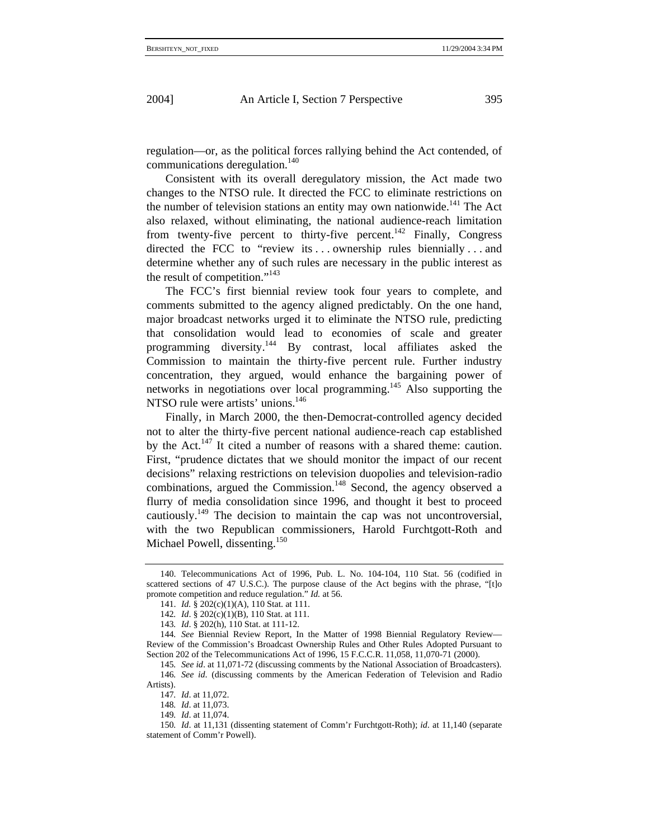regulation—or, as the political forces rallying behind the Act contended, of communications deregulation.140

Consistent with its overall deregulatory mission, the Act made two changes to the NTSO rule. It directed the FCC to eliminate restrictions on the number of television stations an entity may own nationwide.<sup>141</sup> The Act also relaxed, without eliminating, the national audience-reach limitation from twenty-five percent to thirty-five percent.<sup>142</sup> Finally, Congress directed the FCC to "review its ... ownership rules biennially ... and determine whether any of such rules are necessary in the public interest as the result of competition."<sup>143</sup>

The FCC's first biennial review took four years to complete, and comments submitted to the agency aligned predictably. On the one hand, major broadcast networks urged it to eliminate the NTSO rule, predicting that consolidation would lead to economies of scale and greater programming diversity.144 By contrast, local affiliates asked the Commission to maintain the thirty-five percent rule. Further industry concentration, they argued, would enhance the bargaining power of networks in negotiations over local programming.145 Also supporting the NTSO rule were artists' unions.<sup>146</sup>

Finally, in March 2000, the then-Democrat-controlled agency decided not to alter the thirty-five percent national audience-reach cap established by the Act. $147$  It cited a number of reasons with a shared theme: caution. First, "prudence dictates that we should monitor the impact of our recent decisions" relaxing restrictions on television duopolies and television-radio combinations, argued the Commission.<sup>148</sup> Second, the agency observed a flurry of media consolidation since 1996, and thought it best to proceed cautiously.149 The decision to maintain the cap was not uncontroversial, with the two Republican commissioners, Harold Furchtgott-Roth and Michael Powell, dissenting.<sup>150</sup>

<sup>140.</sup> Telecommunications Act of 1996, Pub. L. No. 104-104, 110 Stat. 56 (codified in scattered sections of 47 U.S.C.). The purpose clause of the Act begins with the phrase, "[t]o promote competition and reduce regulation." *Id.* at 56.

<sup>141.</sup> *Id.* § 202(c)(1)(A), 110 Stat. at 111.

<sup>142</sup>*. Id*. § 202(c)(1)(B), 110 Stat. at 111.

<sup>143</sup>*. Id*. § 202(h), 110 Stat. at 111-12.

<sup>144</sup>*. See* Biennial Review Report, In the Matter of 1998 Biennial Regulatory Review— Review of the Commission's Broadcast Ownership Rules and Other Rules Adopted Pursuant to Section 202 of the Telecommunications Act of 1996, 15 F.C.C.R. 11,058, 11,070-71 (2000).

<sup>145</sup>*. See id*. at 11,071-72 (discussing comments by the National Association of Broadcasters). 146*. See id*. (discussing comments by the American Federation of Television and Radio Artists).

<sup>147</sup>*. Id*. at 11,072.

<sup>148</sup>*. Id*. at 11,073.

<sup>149</sup>*. Id*. at 11,074.

<sup>150</sup>*. Id*. at 11,131 (dissenting statement of Comm'r Furchtgott-Roth); *id*. at 11,140 (separate statement of Comm'r Powell).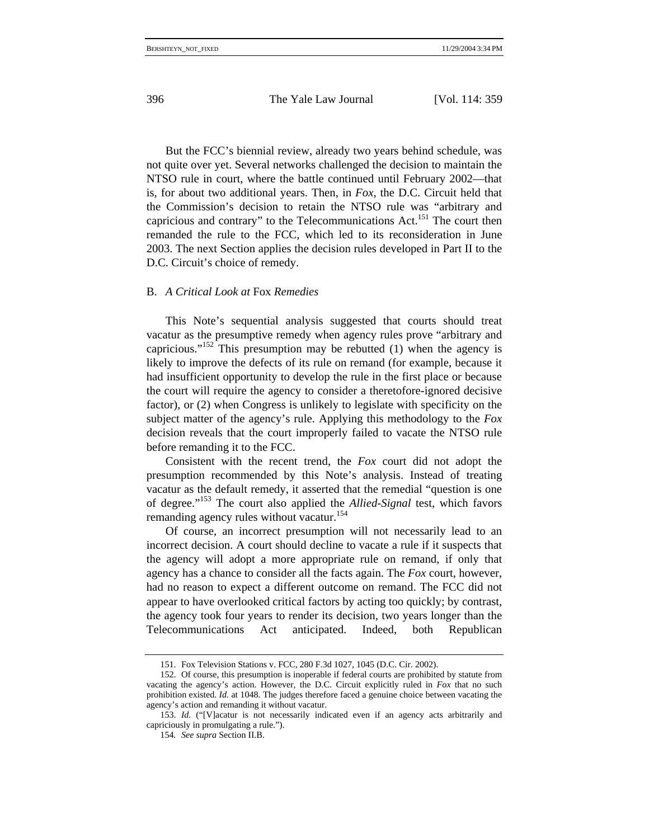But the FCC's biennial review, already two years behind schedule, was not quite over yet. Several networks challenged the decision to maintain the NTSO rule in court, where the battle continued until February 2002—that is, for about two additional years. Then, in *Fox*, the D.C. Circuit held that the Commission's decision to retain the NTSO rule was "arbitrary and capricious and contrary" to the Telecommunications Act.<sup>151</sup> The court then remanded the rule to the FCC, which led to its reconsideration in June 2003. The next Section applies the decision rules developed in Part II to the D.C. Circuit's choice of remedy.

## B. *A Critical Look at* Fox *Remedies*

This Note's sequential analysis suggested that courts should treat vacatur as the presumptive remedy when agency rules prove "arbitrary and capricious."<sup>152</sup> This presumption may be rebutted (1) when the agency is likely to improve the defects of its rule on remand (for example, because it had insufficient opportunity to develop the rule in the first place or because the court will require the agency to consider a theretofore-ignored decisive factor), or (2) when Congress is unlikely to legislate with specificity on the subject matter of the agency's rule. Applying this methodology to the *Fox* decision reveals that the court improperly failed to vacate the NTSO rule before remanding it to the FCC.

Consistent with the recent trend, the *Fox* court did not adopt the presumption recommended by this Note's analysis. Instead of treating vacatur as the default remedy, it asserted that the remedial "question is one of degree."153 The court also applied the *Allied-Signal* test, which favors remanding agency rules without vacatur.<sup>154</sup>

Of course, an incorrect presumption will not necessarily lead to an incorrect decision. A court should decline to vacate a rule if it suspects that the agency will adopt a more appropriate rule on remand, if only that agency has a chance to consider all the facts again. The *Fox* court, however, had no reason to expect a different outcome on remand. The FCC did not appear to have overlooked critical factors by acting too quickly; by contrast, the agency took four years to render its decision, two years longer than the Telecommunications Act anticipated. Indeed, both Republican

<sup>151.</sup> Fox Television Stations v. FCC, 280 F.3d 1027, 1045 (D.C. Cir. 2002).

<sup>152.</sup> Of course, this presumption is inoperable if federal courts are prohibited by statute from vacating the agency's action. However, the D.C. Circuit explicitly ruled in *Fox* that no such prohibition existed. *Id.* at 1048. The judges therefore faced a genuine choice between vacating the agency's action and remanding it without vacatur.

<sup>153.</sup> *Id.* ("[V]acatur is not necessarily indicated even if an agency acts arbitrarily and capriciously in promulgating a rule.").

<sup>154</sup>*. See supra* Section II.B.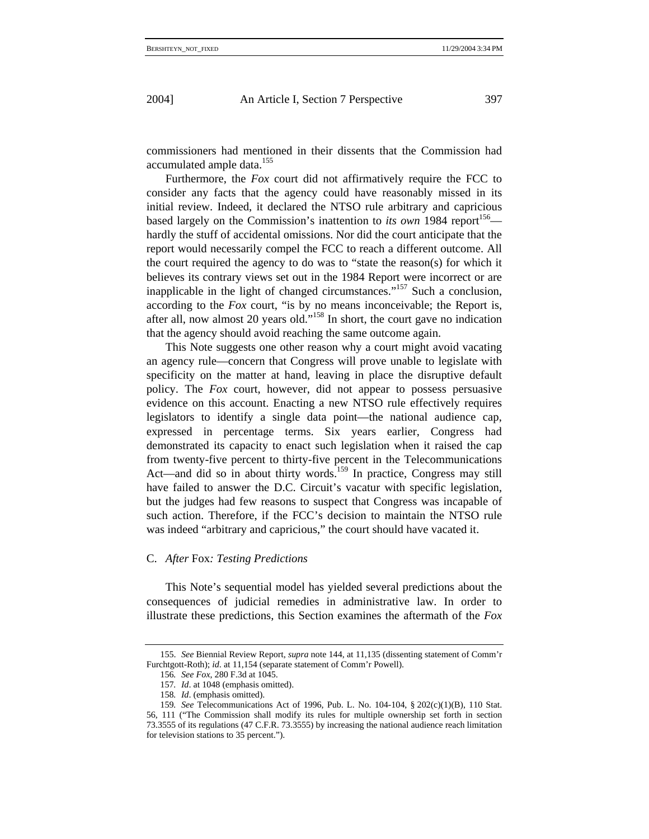commissioners had mentioned in their dissents that the Commission had accumulated ample data.<sup>155</sup>

Furthermore, the *Fox* court did not affirmatively require the FCC to consider any facts that the agency could have reasonably missed in its initial review. Indeed, it declared the NTSO rule arbitrary and capricious based largely on the Commission's inattention to *its own* 1984 report<sup>156</sup> hardly the stuff of accidental omissions. Nor did the court anticipate that the report would necessarily compel the FCC to reach a different outcome. All the court required the agency to do was to "state the reason(s) for which it believes its contrary views set out in the 1984 Report were incorrect or are inapplicable in the light of changed circumstances."157 Such a conclusion, according to the *Fox* court, "is by no means inconceivable; the Report is, after all, now almost 20 years old."158 In short, the court gave no indication that the agency should avoid reaching the same outcome again.

This Note suggests one other reason why a court might avoid vacating an agency rule—concern that Congress will prove unable to legislate with specificity on the matter at hand, leaving in place the disruptive default policy. The *Fox* court, however, did not appear to possess persuasive evidence on this account. Enacting a new NTSO rule effectively requires legislators to identify a single data point—the national audience cap, expressed in percentage terms. Six years earlier, Congress had demonstrated its capacity to enact such legislation when it raised the cap from twenty-five percent to thirty-five percent in the Telecommunications Act—and did so in about thirty words.<sup>159</sup> In practice, Congress may still have failed to answer the D.C. Circuit's vacatur with specific legislation, but the judges had few reasons to suspect that Congress was incapable of such action. Therefore, if the FCC's decision to maintain the NTSO rule was indeed "arbitrary and capricious," the court should have vacated it.

### C. *After* Fox*: Testing Predictions*

This Note's sequential model has yielded several predictions about the consequences of judicial remedies in administrative law. In order to illustrate these predictions, this Section examines the aftermath of the *Fox*

<sup>155.</sup> *See* Biennial Review Report, *supra* note 144, at 11,135 (dissenting statement of Comm'r Furchtgott-Roth); *id*. at 11,154 (separate statement of Comm'r Powell).

<sup>156</sup>*. See Fox*, 280 F.3d at 1045.

<sup>157</sup>*. Id*. at 1048 (emphasis omitted).

<sup>158</sup>*. Id*. (emphasis omitted).

<sup>159</sup>*. See* Telecommunications Act of 1996, Pub. L. No. 104-104, § 202(c)(1)(B), 110 Stat. 56, 111 ("The Commission shall modify its rules for multiple ownership set forth in section 73.3555 of its regulations (47 C.F.R. 73.3555) by increasing the national audience reach limitation for television stations to 35 percent.").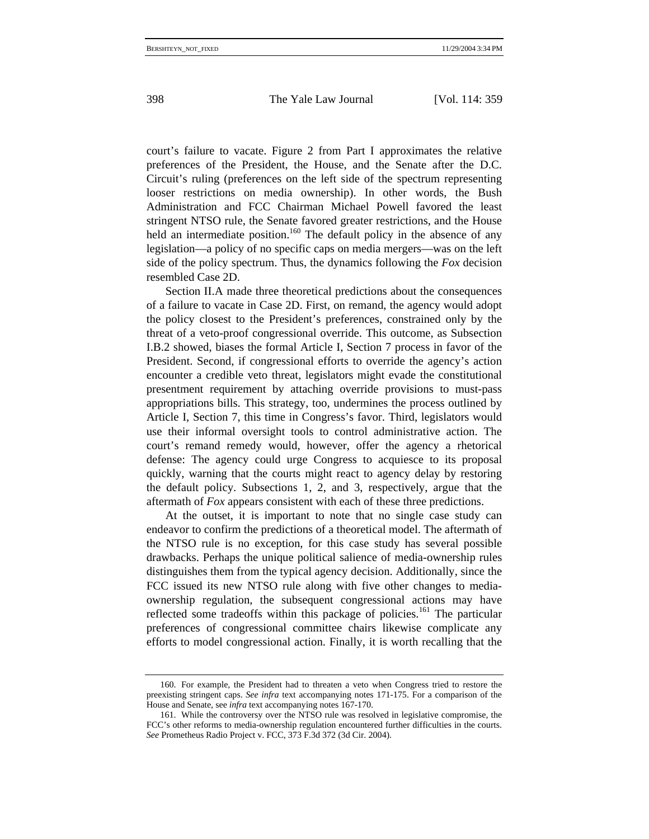court's failure to vacate. Figure 2 from Part I approximates the relative preferences of the President, the House, and the Senate after the D.C. Circuit's ruling (preferences on the left side of the spectrum representing looser restrictions on media ownership). In other words, the Bush Administration and FCC Chairman Michael Powell favored the least stringent NTSO rule, the Senate favored greater restrictions, and the House held an intermediate position.<sup>160</sup> The default policy in the absence of any legislation—a policy of no specific caps on media mergers—was on the left side of the policy spectrum. Thus, the dynamics following the *Fox* decision resembled Case 2D.

Section II.A made three theoretical predictions about the consequences of a failure to vacate in Case 2D. First, on remand, the agency would adopt the policy closest to the President's preferences, constrained only by the threat of a veto-proof congressional override. This outcome, as Subsection I.B.2 showed, biases the formal Article I, Section 7 process in favor of the President. Second, if congressional efforts to override the agency's action encounter a credible veto threat, legislators might evade the constitutional presentment requirement by attaching override provisions to must-pass appropriations bills. This strategy, too, undermines the process outlined by Article I, Section 7, this time in Congress's favor. Third, legislators would use their informal oversight tools to control administrative action. The court's remand remedy would, however, offer the agency a rhetorical defense: The agency could urge Congress to acquiesce to its proposal quickly, warning that the courts might react to agency delay by restoring the default policy. Subsections 1, 2, and 3, respectively, argue that the aftermath of *Fox* appears consistent with each of these three predictions.

At the outset, it is important to note that no single case study can endeavor to confirm the predictions of a theoretical model. The aftermath of the NTSO rule is no exception, for this case study has several possible drawbacks. Perhaps the unique political salience of media-ownership rules distinguishes them from the typical agency decision. Additionally, since the FCC issued its new NTSO rule along with five other changes to mediaownership regulation, the subsequent congressional actions may have reflected some tradeoffs within this package of policies.<sup>161</sup> The particular preferences of congressional committee chairs likewise complicate any efforts to model congressional action. Finally, it is worth recalling that the

<sup>160.</sup> For example, the President had to threaten a veto when Congress tried to restore the preexisting stringent caps. *See infra* text accompanying notes 171-175. For a comparison of the House and Senate, see *infra* text accompanying notes 167-170.

<sup>161.</sup> While the controversy over the NTSO rule was resolved in legislative compromise, the FCC's other reforms to media-ownership regulation encountered further difficulties in the courts. *See* Prometheus Radio Project v. FCC, 373 F.3d 372 (3d Cir. 2004).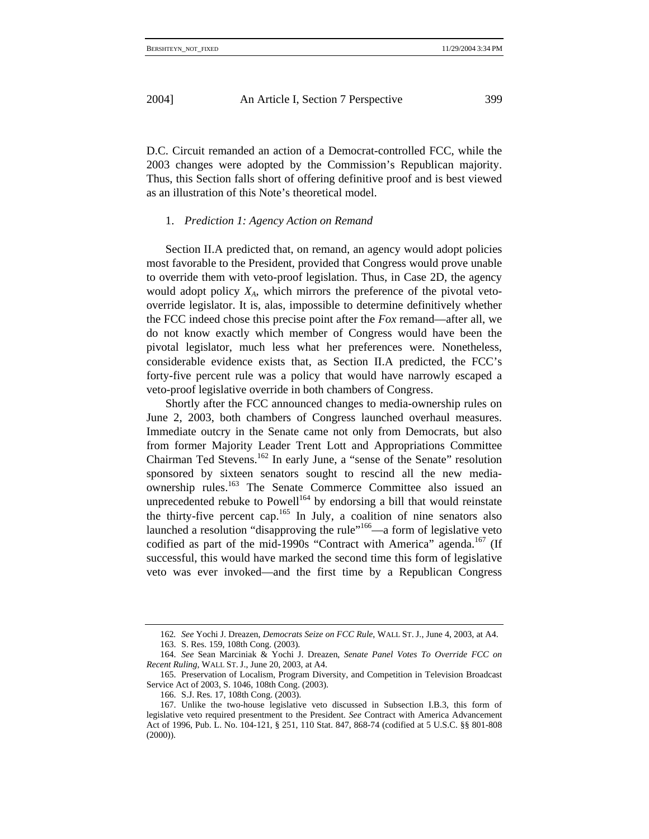D.C. Circuit remanded an action of a Democrat-controlled FCC, while the 2003 changes were adopted by the Commission's Republican majority. Thus, this Section falls short of offering definitive proof and is best viewed as an illustration of this Note's theoretical model.

#### 1. *Prediction 1: Agency Action on Remand*

Section II.A predicted that, on remand, an agency would adopt policies most favorable to the President, provided that Congress would prove unable to override them with veto-proof legislation. Thus, in Case 2D, the agency would adopt policy *XA*, which mirrors the preference of the pivotal vetooverride legislator. It is, alas, impossible to determine definitively whether the FCC indeed chose this precise point after the *Fox* remand—after all, we do not know exactly which member of Congress would have been the pivotal legislator, much less what her preferences were. Nonetheless, considerable evidence exists that, as Section II.A predicted, the FCC's forty-five percent rule was a policy that would have narrowly escaped a veto-proof legislative override in both chambers of Congress.

Shortly after the FCC announced changes to media-ownership rules on June 2, 2003, both chambers of Congress launched overhaul measures. Immediate outcry in the Senate came not only from Democrats, but also from former Majority Leader Trent Lott and Appropriations Committee Chairman Ted Stevens.<sup>162</sup> In early June, a "sense of the Senate" resolution sponsored by sixteen senators sought to rescind all the new mediaownership rules.163 The Senate Commerce Committee also issued an unprecedented rebuke to Powell<sup>164</sup> by endorsing a bill that would reinstate the thirty-five percent cap.165 In July, a coalition of nine senators also launched a resolution "disapproving the rule"<sup>166</sup>—a form of legislative veto codified as part of the mid-1990s "Contract with America" agenda.<sup>167</sup> (If successful, this would have marked the second time this form of legislative veto was ever invoked—and the first time by a Republican Congress

<sup>162</sup>*. See* Yochi J. Dreazen, *Democrats Seize on FCC Rule*, WALL ST. J., June 4, 2003, at A4. 163. S. Res. 159, 108th Cong. (2003).

<sup>164.</sup> *See* Sean Marciniak & Yochi J. Dreazen, *Senate Panel Votes To Override FCC on Recent Ruling*, WALL ST. J., June 20, 2003, at A4.

<sup>165.</sup> Preservation of Localism, Program Diversity, and Competition in Television Broadcast Service Act of 2003, S. 1046, 108th Cong. (2003).

<sup>166.</sup> S.J. Res. 17, 108th Cong. (2003).

<sup>167.</sup> Unlike the two-house legislative veto discussed in Subsection I.B.3, this form of legislative veto required presentment to the President. *See* Contract with America Advancement Act of 1996, Pub. L. No. 104-121, § 251, 110 Stat. 847, 868-74 (codified at 5 U.S.C. §§ 801-808 (2000)).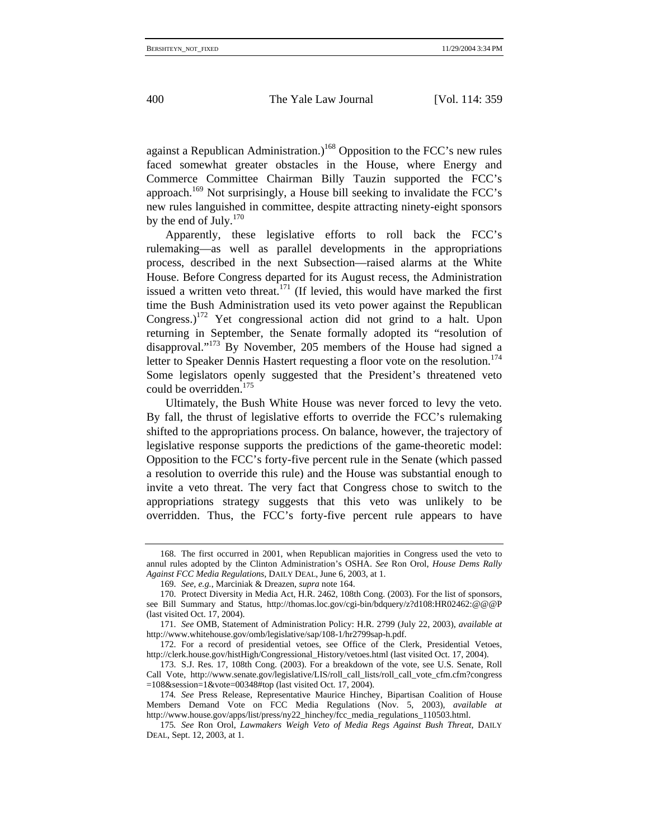against a Republican Administration.)<sup>168</sup> Opposition to the FCC's new rules faced somewhat greater obstacles in the House, where Energy and Commerce Committee Chairman Billy Tauzin supported the FCC's approach.169 Not surprisingly, a House bill seeking to invalidate the FCC's new rules languished in committee, despite attracting ninety-eight sponsors by the end of July. $170$ 

Apparently, these legislative efforts to roll back the FCC's rulemaking—as well as parallel developments in the appropriations process, described in the next Subsection—raised alarms at the White House. Before Congress departed for its August recess, the Administration issued a written veto threat.<sup>171</sup> (If levied, this would have marked the first time the Bush Administration used its veto power against the Republican Congress.)<sup>172</sup> Yet congressional action did not grind to a halt. Upon returning in September, the Senate formally adopted its "resolution of disapproval."173 By November, 205 members of the House had signed a letter to Speaker Dennis Hastert requesting a floor vote on the resolution.<sup>174</sup> Some legislators openly suggested that the President's threatened veto could be overridden.<sup>175</sup>

Ultimately, the Bush White House was never forced to levy the veto. By fall, the thrust of legislative efforts to override the FCC's rulemaking shifted to the appropriations process. On balance, however, the trajectory of legislative response supports the predictions of the game-theoretic model: Opposition to the FCC's forty-five percent rule in the Senate (which passed a resolution to override this rule) and the House was substantial enough to invite a veto threat. The very fact that Congress chose to switch to the appropriations strategy suggests that this veto was unlikely to be overridden. Thus, the FCC's forty-five percent rule appears to have

<sup>168.</sup> The first occurred in 2001, when Republican majorities in Congress used the veto to annul rules adopted by the Clinton Administration's OSHA. *See* Ron Orol, *House Dems Rally Against FCC Media Regulations*, DAILY DEAL, June 6, 2003, at 1.

<sup>169.</sup> *See, e.g.*, Marciniak & Dreazen, *supra* note 164.

<sup>170.</sup> Protect Diversity in Media Act, H.R. 2462, 108th Cong. (2003). For the list of sponsors, see Bill Summary and Status, http://thomas.loc.gov/cgi-bin/bdquery/z?d108:HR02462:@@@P (last visited Oct. 17, 2004).

<sup>171.</sup> *See* OMB, Statement of Administration Policy: H.R. 2799 (July 22, 2003), *available at*  http://www.whitehouse.gov/omb/legislative/sap/108-1/hr2799sap-h.pdf.

<sup>172.</sup> For a record of presidential vetoes, see Office of the Clerk, Presidential Vetoes, http://clerk.house.gov/histHigh/Congressional\_History/vetoes.html (last visited Oct. 17, 2004).

<sup>173.</sup> S.J. Res. 17, 108th Cong. (2003). For a breakdown of the vote, see U.S. Senate, Roll Call Vote, http://www.senate.gov/legislative/LIS/roll\_call\_lists/roll\_call\_vote\_cfm.cfm?congress  $=108$ &session=1&vote=00348#top (last visited Oct. 17, 2004).

<sup>174</sup>*. See* Press Release, Representative Maurice Hinchey, Bipartisan Coalition of House Members Demand Vote on FCC Media Regulations (Nov. 5, 2003), *available at* http://www.house.gov/apps/list/press/ny22\_hinchey/fcc\_media\_regulations\_110503.html.

<sup>175</sup>*. See* Ron Orol, *Lawmakers Weigh Veto of Media Regs Against Bush Threat*, DAILY DEAL, Sept. 12, 2003, at 1.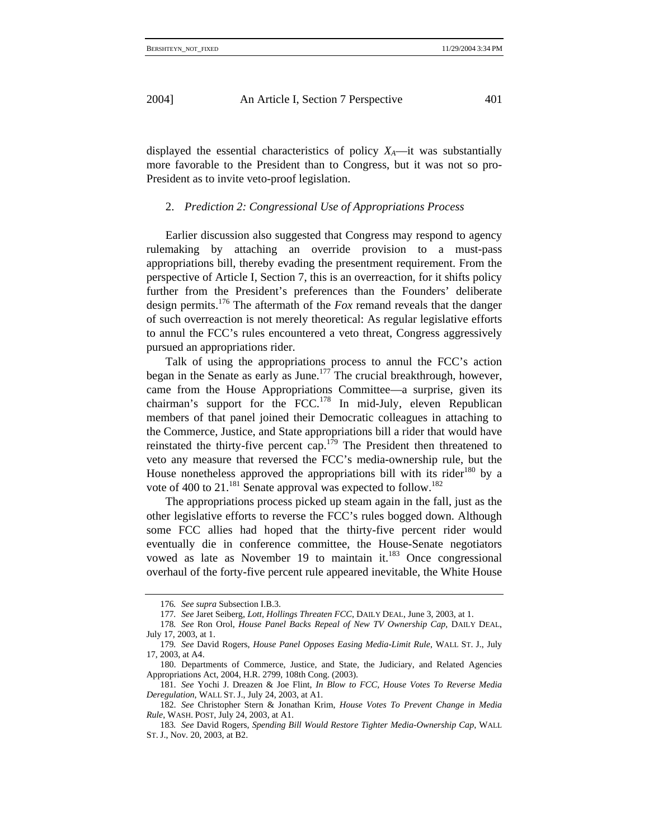displayed the essential characteristics of policy  $X_A$ —it was substantially more favorable to the President than to Congress, but it was not so pro-President as to invite veto-proof legislation.

#### 2. *Prediction 2: Congressional Use of Appropriations Process*

Earlier discussion also suggested that Congress may respond to agency rulemaking by attaching an override provision to a must-pass appropriations bill, thereby evading the presentment requirement. From the perspective of Article I, Section 7, this is an overreaction, for it shifts policy further from the President's preferences than the Founders' deliberate design permits.176 The aftermath of the *Fox* remand reveals that the danger of such overreaction is not merely theoretical: As regular legislative efforts to annul the FCC's rules encountered a veto threat, Congress aggressively pursued an appropriations rider.

Talk of using the appropriations process to annul the FCC's action began in the Senate as early as June.<sup>177</sup> The crucial breakthrough, however, came from the House Appropriations Committee—a surprise, given its chairman's support for the FCC.<sup>178</sup> In mid-July, eleven Republican members of that panel joined their Democratic colleagues in attaching to the Commerce, Justice, and State appropriations bill a rider that would have reinstated the thirty-five percent cap.<sup>179</sup> The President then threatened to veto any measure that reversed the FCC's media-ownership rule, but the House nonetheless approved the appropriations bill with its rider<sup>180</sup> by a vote of 400 to  $21$ .<sup>181</sup> Senate approval was expected to follow.<sup>182</sup>

The appropriations process picked up steam again in the fall, just as the other legislative efforts to reverse the FCC's rules bogged down. Although some FCC allies had hoped that the thirty-five percent rider would eventually die in conference committee, the House-Senate negotiators vowed as late as November 19 to maintain it. $183$  Once congressional overhaul of the forty-five percent rule appeared inevitable, the White House

<sup>176</sup>*. See supra* Subsection I.B.3.

<sup>177</sup>*. See* Jaret Seiberg, *Lott, Hollings Threaten FCC*, DAILY DEAL, June 3, 2003, at 1.

<sup>178</sup>*. See* Ron Orol, *House Panel Backs Repeal of New TV Ownership Cap*, DAILY DEAL, July 17, 2003, at 1.

<sup>179</sup>*. See* David Rogers, *House Panel Opposes Easing Media-Limit Rule*, WALL ST. J., July 17, 2003, at A4.

<sup>180.</sup> Departments of Commerce, Justice, and State, the Judiciary, and Related Agencies Appropriations Act, 2004, H.R. 2799, 108th Cong. (2003).

<sup>181.</sup> *See* Yochi J. Dreazen & Joe Flint, *In Blow to FCC, House Votes To Reverse Media Deregulation*, WALL ST. J., July 24, 2003, at A1.

<sup>182.</sup> *See* Christopher Stern & Jonathan Krim, *House Votes To Prevent Change in Media Rule*, WASH. POST, July 24, 2003, at A1.

<sup>183</sup>*. See* David Rogers, *Spending Bill Would Restore Tighter Media-Ownership Cap*, WALL ST. J., Nov. 20, 2003, at B2.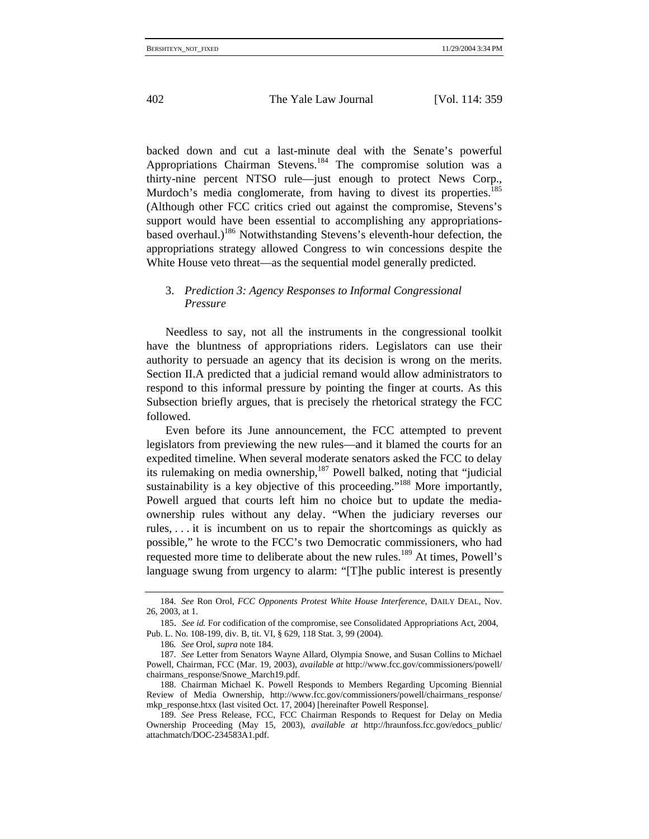backed down and cut a last-minute deal with the Senate's powerful Appropriations Chairman Stevens.184 The compromise solution was a thirty-nine percent NTSO rule—just enough to protect News Corp., Murdoch's media conglomerate, from having to divest its properties.<sup>185</sup> (Although other FCC critics cried out against the compromise, Stevens's support would have been essential to accomplishing any appropriationsbased overhaul.)<sup>186</sup> Notwithstanding Stevens's eleventh-hour defection, the appropriations strategy allowed Congress to win concessions despite the White House veto threat—as the sequential model generally predicted.

# 3. *Prediction 3: Agency Responses to Informal Congressional Pressure*

Needless to say, not all the instruments in the congressional toolkit have the bluntness of appropriations riders. Legislators can use their authority to persuade an agency that its decision is wrong on the merits. Section II.A predicted that a judicial remand would allow administrators to respond to this informal pressure by pointing the finger at courts. As this Subsection briefly argues, that is precisely the rhetorical strategy the FCC followed.

Even before its June announcement, the FCC attempted to prevent legislators from previewing the new rules—and it blamed the courts for an expedited timeline. When several moderate senators asked the FCC to delay its rulemaking on media ownership,<sup>187</sup> Powell balked, noting that "judicial sustainability is a key objective of this proceeding."<sup>188</sup> More importantly, Powell argued that courts left him no choice but to update the mediaownership rules without any delay. "When the judiciary reverses our rules, . . . it is incumbent on us to repair the shortcomings as quickly as possible," he wrote to the FCC's two Democratic commissioners, who had requested more time to deliberate about the new rules.<sup>189</sup> At times, Powell's language swung from urgency to alarm: "[T]he public interest is presently

<sup>184.</sup> *See* Ron Orol, *FCC Opponents Protest White House Interference*, DAILY DEAL, Nov. 26, 2003, at 1.

<sup>185.</sup> *See id.* For codification of the compromise, see Consolidated Appropriations Act, 2004, Pub. L. No. 108-199, div. B, tit. VI, § 629, 118 Stat. 3, 99 (2004).

<sup>186</sup>*. See* Orol, *supra* note 184.

<sup>187.</sup> *See* Letter from Senators Wayne Allard, Olympia Snowe, and Susan Collins to Michael Powell, Chairman, FCC (Mar. 19, 2003), *available at* http://www.fcc.gov/commissioners/powell/ chairmans\_response/Snowe\_March19.pdf.

<sup>188.</sup> Chairman Michael K. Powell Responds to Members Regarding Upcoming Biennial Review of Media Ownership, http://www.fcc.gov/commissioners/powell/chairmans\_response/ mkp\_response.htxx (last visited Oct. 17, 2004) [hereinafter Powell Response].

<sup>189.</sup> *See* Press Release, FCC, FCC Chairman Responds to Request for Delay on Media Ownership Proceeding (May 15, 2003), *available at* http://hraunfoss.fcc.gov/edocs\_public/ attachmatch/DOC-234583A1.pdf.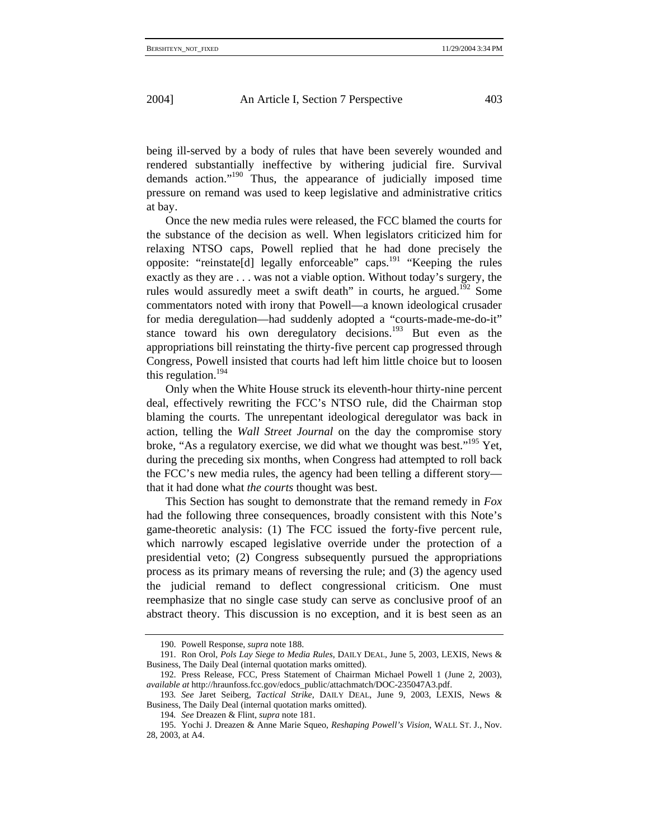being ill-served by a body of rules that have been severely wounded and rendered substantially ineffective by withering judicial fire. Survival demands action."190 Thus, the appearance of judicially imposed time pressure on remand was used to keep legislative and administrative critics at bay.

Once the new media rules were released, the FCC blamed the courts for the substance of the decision as well. When legislators criticized him for relaxing NTSO caps, Powell replied that he had done precisely the opposite: "reinstate[d] legally enforceable" caps. $^{191}$  "Keeping the rules exactly as they are . . . was not a viable option. Without today's surgery, the rules would assuredly meet a swift death" in courts, he argued.<sup>192</sup> Some commentators noted with irony that Powell—a known ideological crusader for media deregulation—had suddenly adopted a "courts-made-me-do-it" stance toward his own deregulatory decisions.<sup>193</sup> But even as the appropriations bill reinstating the thirty-five percent cap progressed through Congress, Powell insisted that courts had left him little choice but to loosen this regulation.194

Only when the White House struck its eleventh-hour thirty-nine percent deal, effectively rewriting the FCC's NTSO rule, did the Chairman stop blaming the courts. The unrepentant ideological deregulator was back in action, telling the *Wall Street Journal* on the day the compromise story broke, "As a regulatory exercise, we did what we thought was best."<sup>195</sup> Yet, during the preceding six months, when Congress had attempted to roll back the FCC's new media rules, the agency had been telling a different story that it had done what *the courts* thought was best.

This Section has sought to demonstrate that the remand remedy in *Fox*  had the following three consequences, broadly consistent with this Note's game-theoretic analysis: (1) The FCC issued the forty-five percent rule, which narrowly escaped legislative override under the protection of a presidential veto; (2) Congress subsequently pursued the appropriations process as its primary means of reversing the rule; and (3) the agency used the judicial remand to deflect congressional criticism. One must reemphasize that no single case study can serve as conclusive proof of an abstract theory. This discussion is no exception, and it is best seen as an

<sup>190.</sup> Powell Response, *supra* note 188.

<sup>191.</sup> Ron Orol, *Pols Lay Siege to Media Rules*, DAILY DEAL, June 5, 2003, LEXIS, News & Business, The Daily Deal (internal quotation marks omitted).

<sup>192.</sup> Press Release, FCC, Press Statement of Chairman Michael Powell 1 (June 2, 2003), *available at* http://hraunfoss.fcc.gov/edocs\_public/attachmatch/DOC-235047A3.pdf.

<sup>193</sup>*. See* Jaret Seiberg, *Tactical Strike*, DAILY DEAL, June 9, 2003, LEXIS, News & Business, The Daily Deal (internal quotation marks omitted).

<sup>194</sup>*. See* Dreazen & Flint, *supra* note 181.

<sup>195.</sup> Yochi J. Dreazen & Anne Marie Squeo, *Reshaping Powell's Vision*, WALL ST. J., Nov. 28, 2003, at A4.